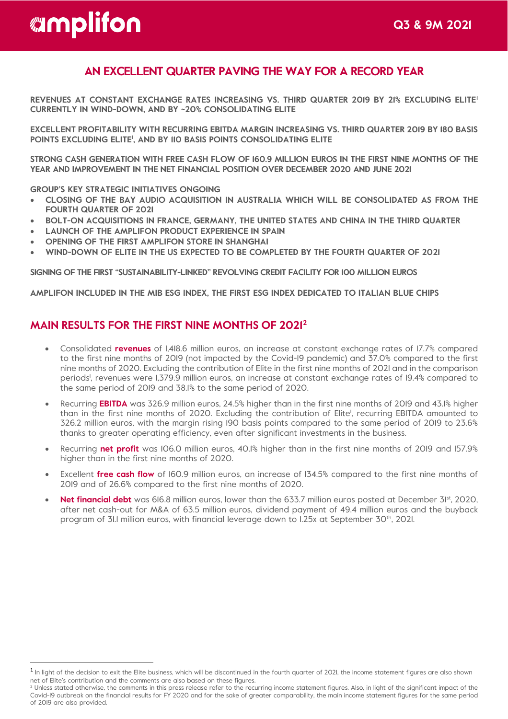# *amplifon*

# **AN EXCELLENT QUARTER PAVING THE WAY FOR A RECORD YEAR**

**REVENUES AT CONSTANT EXCHANGE RATES INCREASING VS. THIRD QUARTER 2019 BY 21% EXCLUDING ELITE[1](#page-0-0) CURRENTLY IN WIND-DOWN, AND BY ~20% CONSOLIDATING ELITE**

**EXCELLENT PROFITABILITY WITH RECURRING EBITDA MARGIN INCREASING VS. THIRD QUARTER 2019 BY 180 BASIS POINTS EXCLUDING ELITE1 , AND BY 110 BASIS POINTS CONSOLIDATING ELITE** 

**STRONG CASH GENERATION WITH FREE CASH FLOW OF 160.9 MILLION EUROS IN THE FIRST NINE MONTHS OF THE YEAR AND IMPROVEMENT IN THE NET FINANCIAL POSITION OVER DECEMBER 2020 AND JUNE 2021** 

**GROUP'S KEY STRATEGIC INITIATIVES ONGOING**

- **CLOSING OF THE BAY AUDIO ACQUISITION IN AUSTRALIA WHICH WILL BE CONSOLIDATED AS FROM THE FOURTH QUARTER OF 2021**
- **BOLT-ON ACQUISITIONS IN FRANCE, GERMANY, THE UNITED STATES AND CHINA IN THE THIRD QUARTER**
- **LAUNCH OF THE AMPLIFON PRODUCT EXPERIENCE IN SPAIN**
- **OPENING OF THE FIRST AMPLIFON STORE IN SHANGHAI**
- **WIND-DOWN OF ELITE IN THE US EXPECTED TO BE COMPLETED BY THE FOURTH QUARTER OF 2021**

**SIGNING OF THE FIRST "SUSTAINABILITY-LINKED" REVOLVING CREDIT FACILITY FOR 100 MILLION EUROS** 

**AMPLIFON INCLUDED IN THE MIB ESG INDEX, THE FIRST ESG INDEX DEDICATED TO ITALIAN BLUE CHIPS**

# **MAIN RESULTS FOR THE FIRST NINE MONTHS OF 2021 [2](#page-0-1)**

- Consolidated **revenues** of 1,418.6 million euros, an increase at constant exchange rates of 17.7% compared to the first nine months of 2019 (not impacted by the Covid-19 pandemic) and 37.0% compared to the first nine months of 2020. Excluding the contribution of Elite in the first nine months of 2021 and in the comparison periods', revenues were 1,379.9 million euros, an increase at constant exchange rates of 19.4% compared to the same period of 2019 and 38.1% to the same period of 2020.
- Recurring **EBITDA** was 326.9 million euros, 24.5% higher than in the first nine months of 2019 and 43.1% higher than in the first nine months of 2020. Excluding the contribution of Elite<sup>1</sup>, recurring EBITDA amounted to 326.2 million euros, with the margin rising 190 basis points compared to the same period of 2019 to 23.6% thanks to greater operating efficiency, even after significant investments in the business.
- Recurring **net profit** was 106.0 million euros, 40.1% higher than in the first nine months of 2019 and 157.9% higher than in the first nine months of 2020.
- Excellent **free cash flow** of 160.9 million euros, an increase of 134.5% compared to the first nine months of 2019 and of 26.6% compared to the first nine months of 2020.
- **Net financial debt** was 616.8 million euros, lower than the 633.7 million euros posted at December 31st, 2020, after net cash-out for M&A of 63.5 million euros, dividend payment of 49.4 million euros and the buyback program of 31.1 million euros, with financial leverage down to 1.25x at September 30<sup>th</sup>, 2021.

<span id="page-0-0"></span><sup>&</sup>lt;sup>1</sup> In light of the decision to exit the Elite business, which will be discontinued in the fourth quarter of 2021, the income statement figures are also shown net of Elite's contribution and the comments are also based on these figures.

<span id="page-0-1"></span><sup>&</sup>lt;sup>2</sup> Unless stated otherwise, the comments in this press release refer to the recurring income statement figures. Also, in light of the significant impact of the Covid-19 outbreak on the financial results for FY 2020 and for the sake of greater comparability, the main income statement figures for the same period of 2019 are also provided.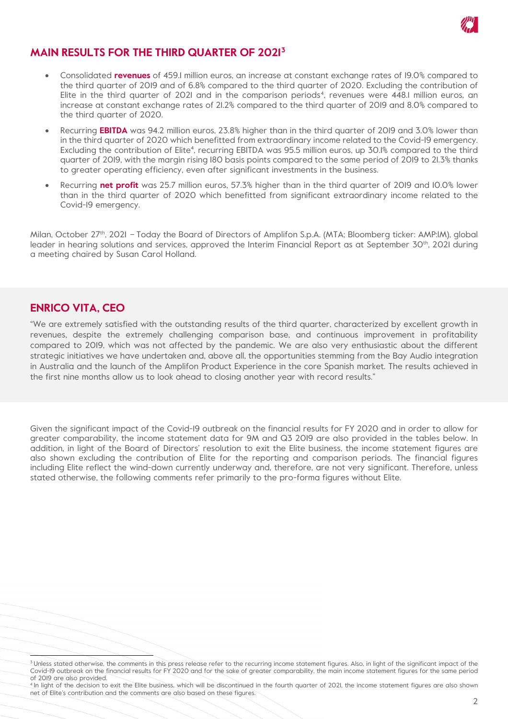

## **MAIN RESULTS FOR THE THIRD QUARTER OF 2021 [3](#page-1-0)**

- Consolidated **revenues** of 459.1 million euros, an increase at constant exchange rates of 19.0% compared to the third quarter of 2019 and of 6.8% compared to the third quarter of 2020. Excluding the contribution of Elite in the third quarter of 2021 and in the comparison periods<sup>[4](#page-1-1)</sup>, revenues were 448.I million euros, an increase at constant exchange rates of 21.2% compared to the third quarter of 2019 and 8.0% compared to the third quarter of 2020.
- Recurring **EBITDA** was 94.2 million euros, 23.8% higher than in the third quarter of 2019 and 3.0% lower than in the third quarter of 2020 which benefitted from extraordinary income related to the Covid-19 emergency. Excluding the contribution of Elite4 , recurring EBITDA was 95.5 million euros, up 30.1% compared to the third quarter of 2019, with the margin rising 180 basis points compared to the same period of 2019 to 21.3% thanks to greater operating efficiency, even after significant investments in the business.
- Recurring **net profit** was 25.7 million euros, 57.3% higher than in the third quarter of 2019 and 10.0% lower than in the third quarter of 2020 which benefitted from significant extraordinary income related to the Covid-19 emergency.

Milan, October 27<sup>th</sup>, 2021 – Today the Board of Directors of Amplifon S.p.A. (MTA; Bloomberg ticker: AMP:IM), global leader in hearing solutions and services, approved the Interim Financial Report as at September 30<sup>th</sup>, 2021 during a meeting chaired by Susan Carol Holland.

#### **ENRICO VITA, CEO**

 compared to 2019, which was not affected by the pandemic. We are also very enthusiastic about the different "We are extremely satisfied with the outstanding results of the third quarter, characterized by excellent growth in revenues, despite the extremely challenging comparison base, and continuous improvement in profitability strategic initiatives we have undertaken and, above all, the opportunities stemming from the Bay Audio integration in Australia and the launch of the Amplifon Product Experience in the core Spanish market. The results achieved in the first nine months allow us to look ahead to closing another year with record results."

Given the significant impact of the Covid-19 outbreak on the financial results for FY 2020 and in order to allow for greater comparability, the income statement data for 9M and Q3 2019 are also provided in the tables below. In addition, in light of the Board of Directors' resolution to exit the Elite business, the income statement figures are also shown excluding the contribution of Elite for the reporting and comparison periods. The financial figures including Elite reflect the wind-down currently underway and, therefore, are not very significant. Therefore, unless stated otherwise, the following comments refer primarily to the pro-forma figures without Elite.

<span id="page-1-0"></span><sup>&</sup>lt;sup>3</sup> Unless stated otherwise, the comments in this press release refer to the recurring income statement figures. Also, in light of the significant impact of the Covid-19 outbreak on the financial results for FY 2020 and for the sake of greater comparability, the main income statement figures for the same period of 2019 are also provided.

<span id="page-1-1"></span><sup>4</sup> In light of the decision to exit the Elite business, which will be discontinued in the fourth quarter of 2021, the income statement figures are also shown net of Elite's contribution and the comments are also based on these figures.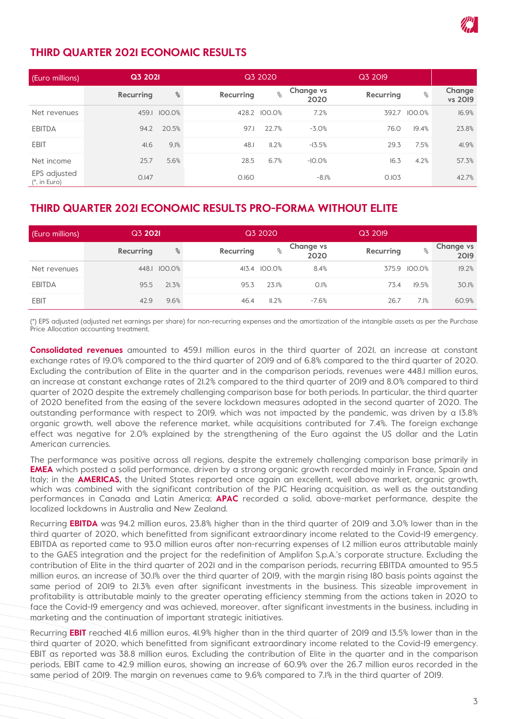

#### **THIRD QUARTER 2021 ECONOMIC RESULTS**

| (Euro millions)                | Q3 2021   |        | Q3 2020          | Q3 2019      |                   |           |        |                   |
|--------------------------------|-----------|--------|------------------|--------------|-------------------|-----------|--------|-------------------|
|                                | Recurring | $\%$   | <b>Recurring</b> | $\%$         | Change vs<br>2020 | Recurring | $\%$   | Change<br>vs 2019 |
| Net revenues                   | 459.1     | 100.0% |                  | 428.2 100.0% | 7.2%              | 392.7     | 100.0% | 16.9%             |
| <b>EBITDA</b>                  | 94.2      | 20.5%  | 97.1             | 22.7%        | $-3.0%$           | 76.0      | 19.4%  | 23.8%             |
| <b>EBIT</b>                    | 41.6      | 9.1%   | 48.1             | II.2%        | $-13.5%$          | 29.3      | 7.5%   | 41.9%             |
| Net income                     | 25.7      | 5.6%   | 28.5             | 6.7%         | $-10.0%$          | 16.3      | 4.2%   | 57.3%             |
| EPS adjusted<br>$(*, in Euro)$ | 0.147     |        | 0.160            |              | $-8.1%$           | 0.103     |        | 42.7%             |

#### **THIRD QUARTER 2021 ECONOMIC RESULTS PRO-FORMA WITHOUT ELITE**

| (Euro millions) | Q3 2021   |              | Q3 2020   |              |                   | Q3 2019   |              |                          |
|-----------------|-----------|--------------|-----------|--------------|-------------------|-----------|--------------|--------------------------|
|                 | Recurring | ℅            | Recurring | $\%$         | Change vs<br>2020 | Recurring | $\%$         | <b>Change vs</b><br>2019 |
| Net revenues    |           | 448.1 100.0% |           | 413.4 100.0% | 8.4%              |           | 375.9 100.0% | 19.2%                    |
| <b>EBITDA</b>   | 95.5      | 21.3%        | 95.3      | 23.1%        | 0.1%              | 73.4      | 19.5%        | 30.1%                    |
| <b>EBIT</b>     | 42.9      | 9.6%         | 46.4      | II.2%        | $-7.6%$           | 26.7      | 7.1%         | 60.9%                    |

(\*) EPS adjusted (adjusted net earnings per share) for non-recurring expenses and the amortization of the intangible assets as per the Purchase Price Allocation accounting treatment.

**Consolidated revenues** amounted to 459.1 million euros in the third quarter of 2021, an increase at constant exchange rates of 19.0% compared to the third quarter of 2019 and of 6.8% compared to the third quarter of 2020. Excluding the contribution of Elite in the quarter and in the comparison periods, revenues were 448.1 million euros, an increase at constant exchange rates of 21.2% compared to the third quarter of 2019 and 8.0% compared to third quarter of 2020 despite the extremely challenging comparison base for both periods. In particular, the third quarter of 2020 benefited from the easing of the severe lockdown measures adopted in the second quarter of 2020. The outstanding performance with respect to 2019, which was not impacted by the pandemic, was driven by a 13.8% organic growth, well above the reference market, while acquisitions contributed for 7.4%. The foreign exchange effect was negative for 2.0% explained by the strengthening of the Euro against the US dollar and the Latin American currencies.

The performance was positive across all regions, despite the extremely challenging comparison base primarily in **EMEA** which posted a solid performance, driven by a strong organic growth recorded mainly in France, Spain and Italy; in the **AMERICAS,** the United States reported once again an excellent, well above market, organic growth, which was combined with the significant contribution of the PJC Hearing acquisition, as well as the outstanding performances in Canada and Latin America; **APAC** recorded a solid, above-market performance, despite the localized lockdowns in Australia and New Zealand.

Recurring **EBITDA** was 94.2 million euros, 23.8% higher than in the third quarter of 2019 and 3.0% lower than in the third quarter of 2020, which benefitted from significant extraordinary income related to the Covid-19 emergency. EBITDA as reported came to 93.0 million euros after non-recurring expenses of 1.2 million euros attributable mainly to the GAES integration and the project for the redefinition of Amplifon S.p.A.'s corporate structure. Excluding the contribution of Elite in the third quarter of 2021 and in the comparison periods, recurring EBITDA amounted to 95.5 million euros, an increase of 30.1% over the third quarter of 2019, with the margin rising 180 basis points against the same period of 2019 to 21.3% even after significant investments in the business. This sizeable improvement in profitability is attributable mainly to the greater operating efficiency stemming from the actions taken in 2020 to face the Covid-19 emergency and was achieved, moreover, after significant investments in the business, including in marketing and the continuation of important strategic initiatives.

Recurring **EBIT** reached 41.6 million euros, 41.9% higher than in the third quarter of 2019 and 13.5% lower than in the third quarter of 2020, which benefitted from significant extraordinary income related to the Covid-19 emergency. EBIT as reported was 38.8 million euros. Excluding the contribution of Elite in the quarter and in the comparison periods, EBIT came to 42.9 million euros, showing an increase of 60.9% over the 26.7 million euros recorded in the same period of 2019. The margin on revenues came to 9.6% compared to 7.1% in the third quarter of 2019.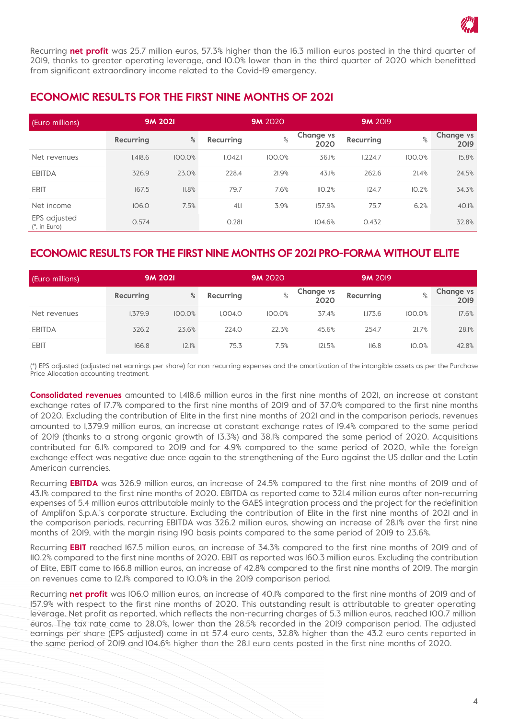

Recurring **net profit** was 25.7 million euros, 57.3% higher than the 16.3 million euros posted in the third quarter of 2019, thanks to greater operating leverage, and 10.0% lower than in the third quarter of 2020 which benefitted from significant extraordinary income related to the Covid-19 emergency.

#### **ECONOMIC RESULTS FOR THE FIRST NINE MONTHS OF 2021**

| (Euro millions)                |           | <b>9M 2021</b> |                  | <b>9M</b> 2020 |                          | <b>9M 2019</b> |        |                          |
|--------------------------------|-----------|----------------|------------------|----------------|--------------------------|----------------|--------|--------------------------|
|                                | Recurring | $\%$           | <b>Recurring</b> | $\%$           | <b>Change vs</b><br>2020 | Recurring      | $\%$   | <b>Change vs</b><br>2019 |
| Net revenues                   | 1.418.6   | 100.0%         | 1.042.1          | 100.0%         | 36.1%                    | 1,224.7        | 100.0% | 15.8%                    |
| <b>EBITDA</b>                  | 326.9     | 23.0%          | 228.4            | 21.9%          | 43.1%                    | 262.6          | 21.4%  | 24.5%                    |
| <b>EBIT</b>                    | 167.5     | II.8%          | 79.7             | 7.6%           | IIO.2%                   | 124.7          | 10.2%  | 34.3%                    |
| Net income                     | 106.0     | 7.5%           | 41.1             | 3.9%           | 157.9%                   | 75.7           | 6.2%   | 40.1%                    |
| EPS adjusted<br>$(*.$ in Euro) | 0.574     |                | 0.281            |                | 104.6%                   | 0.432          |        | 32.8%                    |

#### **ECONOMIC RESULTS FOR THE FIRST NINE MONTHS OF 2021 PRO-FORMA WITHOUT ELITE**

| (Euro millions) | <b>9M 2021</b> |        |                | <b>9M 2020</b> | <b>9M 2019</b>           |           |        |                          |
|-----------------|----------------|--------|----------------|----------------|--------------------------|-----------|--------|--------------------------|
|                 | Recurring      | ℅      | Recurring      | $\%$           | <b>Change vs</b><br>2020 | Recurring | $\%$   | <b>Change vs</b><br>2019 |
| Net revenues    | 1.379.9        | 100.0% | <b>I.004.0</b> | 100.0%         | 37.4%                    | 1.173.6   | 100.0% | 17.6%                    |
| <b>EBITDA</b>   | 326.2          | 23.6%  | 224.0          | 22.3%          | 45.6%                    | 254.7     | 21.7%  | 28.1%                    |
| <b>EBIT</b>     | 166.8          | 12.1%  | 75.3           | 7.5%           | 121.5%                   | II6.8     | 10.0%  | 42.8%                    |

(\*) EPS adjusted (adjusted net earnings per share) for non-recurring expenses and the amortization of the intangible assets as per the Purchase Price Allocation accounting treatment.

**Consolidated revenues** amounted to 1,418.6 million euros in the first nine months of 2021, an increase at constant exchange rates of 17.7% compared to the first nine months of 2019 and of 37.0% compared to the first nine months of 2020. Excluding the contribution of Elite in the first nine months of 2021 and in the comparison periods, revenues amounted to 1,379.9 million euros, an increase at constant exchange rates of 19.4% compared to the same period of 2019 (thanks to a strong organic growth of 13.3%) and 38.1% compared the same period of 2020. Acquisitions contributed for 6.1% compared to 2019 and for 4.9% compared to the same period of 2020, while the foreign exchange effect was negative due once again to the strengthening of the Euro against the US dollar and the Latin American currencies.

Recurring **EBITDA** was 326.9 million euros, an increase of 24.5% compared to the first nine months of 2019 and of 43.1% compared to the first nine months of 2020. EBITDA as reported came to 321.4 million euros after non-recurring expenses of 5.4 million euros attributable mainly to the GAES integration process and the project for the redefinition of Amplifon S.p.A.'s corporate structure. Excluding the contribution of Elite in the first nine months of 2021 and in the comparison periods, recurring EBITDA was 326.2 million euros, showing an increase of 28.1% over the first nine months of 2019, with the margin rising 190 basis points compared to the same period of 2019 to 23.6%.

Recurring **EBIT** reached 167.5 million euros, an increase of 34.3% compared to the first nine months of 2019 and of 110.2% compared to the first nine months of 2020. EBIT as reported was 160.3 million euros. Excluding the contribution of Elite, EBIT came to 166.8 million euros, an increase of 42.8% compared to the first nine months of 2019. The margin on revenues came to 12.1% compared to 10.0% in the 2019 comparison period.

Recurring **net profit** was 106.0 million euros, an increase of 40.1% compared to the first nine months of 2019 and of 157.9% with respect to the first nine months of 2020. This outstanding result is attributable to greater operating leverage. Net profit as reported, which reflects the non-recurring charges of 5.3 million euros, reached 100.7 million euros. The tax rate came to 28.0%, lower than the 28.5% recorded in the 2019 comparison period. The adjusted earnings per share (EPS adjusted) came in at 57.4 euro cents, 32.8% higher than the 43.2 euro cents reported in the same period of 2019 and 104.6% higher than the 28.1 euro cents posted in the first nine months of 2020.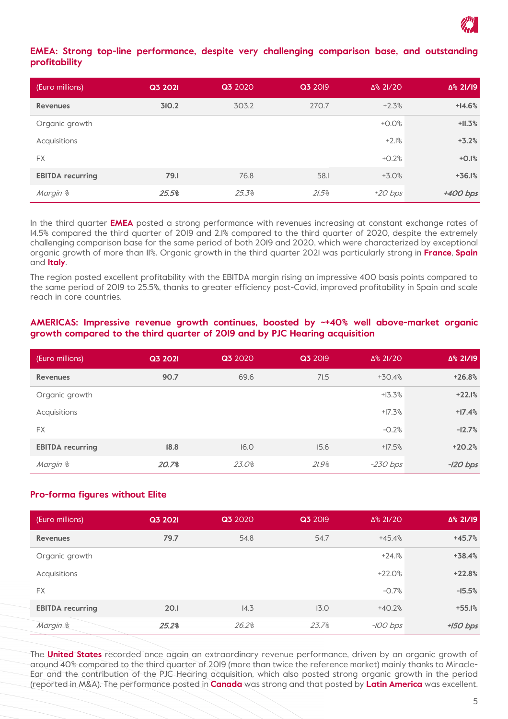

#### **EMEA: Strong top-line performance, despite very challenging comparison base, and outstanding profitability**

| (Euro millions)         | Q3 2021 | Q3 2020 | Q3 2019 | Δ% 2I/20  | △% 21/19 |
|-------------------------|---------|---------|---------|-----------|----------|
| <b>Revenues</b>         | 310.2   | 303.2   | 270.7   | $+2.3%$   | $+14.6%$ |
| Organic growth          |         |         |         | $+0.0%$   | $+11.3%$ |
| Acquisitions            |         |         |         | $+2.1%$   | $+3.2%$  |
| <b>FX</b>               |         |         |         | $+0.2%$   | $+0.1%$  |
| <b>EBITDA recurring</b> | 79.1    | 76.8    | 58.I    | $+3.0%$   | $+36.1%$ |
| Margin %                | 25.5%   | 25.3%   | 21.5%   | $+20$ bps | +400 bps |

In the third quarter **EMEA** posted a strong performance with revenues increasing at constant exchange rates of 14.5% compared the third quarter of 2019 and 2.1% compared to the third quarter of 2020, despite the extremely challenging comparison base for the same period of both 2019 and 2020, which were characterized by exceptional organic growth of more than 11%. Organic growth in the third quarter 2021 was particularly strong in **France**, **Spain** and **Italy**.

The region posted excellent profitability with the EBITDA margin rising an impressive 400 basis points compared to the same period of 2019 to 25.5%, thanks to greater efficiency post-Covid, improved profitability in Spain and scale reach in core countries.

#### **AMERICAS: Impressive revenue growth continues, boosted by ~+40% well above-market organic growth compared to the third quarter of 2019 and by PJC Hearing acquisition**

| (Euro millions)         | Q3 2021 | Q3 2020 | Q3 2019 | Δ% 2I/20   | ∆% 21/19   |
|-------------------------|---------|---------|---------|------------|------------|
| <b>Revenues</b>         | 90.7    | 69.6    | 71.5    | $+30.4%$   | $+26.8%$   |
| Organic growth          |         |         |         | $+13.3%$   | $+22.1%$   |
| Acquisitions            |         |         |         | $+17.3%$   | $+17.4%$   |
| <b>FX</b>               |         |         |         | $-0.2%$    | $-12.7%$   |
| <b>EBITDA recurring</b> | 18.8    | 16.0    | 15.6    | $+17.5%$   | $+20.2%$   |
| Margin %                | 20.7%   | 23.0%   | 21.9%   | $-230$ bps | $-120$ bps |

#### **Pro-forma figures without Elite**

| (Euro millions)         | Q3 2021 | Q3 2020 | Q3 2019 | $\Delta$ % 2I/20 | Δ% 21/19   |
|-------------------------|---------|---------|---------|------------------|------------|
| <b>Revenues</b>         | 79.7    | 54.8    | 54.7    | $+45.4%$         | $+45.7%$   |
| Organic growth          |         |         |         | $+24.1%$         | $+38.4%$   |
| Acquisitions            |         |         |         | $+22.0%$         | $+22.8%$   |
| <b>FX</b>               |         |         |         | $-0.7%$          | $-15.5%$   |
| <b>EBITDA recurring</b> | 20.1    | 14.3    | 13.0    | $+40.2%$         | $+55.1%$   |
| Margin %                | 25.2%   | 26.2%   | 23.7%   | $-100$ bps       | $+150$ bps |

The **United States** recorded once again an extraordinary revenue performance, driven by an organic growth of around 40% compared to the third quarter of 2019 (more than twice the reference market) mainly thanks to Miracle-Ear and the contribution of the PJC Hearing acquisition, which also posted strong organic growth in the period (reported in M&A). The performance posted in **Canada** was strong and that posted by **Latin America** was excellent.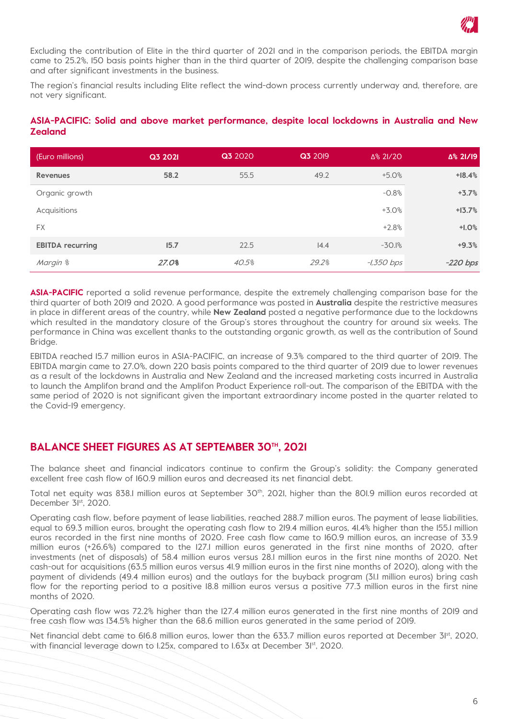

Excluding the contribution of Elite in the third quarter of 2021 and in the comparison periods, the EBITDA margin came to 25.2%, 150 basis points higher than in the third quarter of 2019, despite the challenging comparison base and after significant investments in the business.

The region's financial results including Elite reflect the wind-down process currently underway and, therefore, are not very significant.

#### **ASIA-PACIFIC: Solid and above market performance, despite local lockdowns in Australia and New Zealand**

| (Euro millions)         | Q3 2021 | Q3 2020 | Q3 2019 | Δ% 2I/20     | Δ% 21/19   |
|-------------------------|---------|---------|---------|--------------|------------|
| <b>Revenues</b>         | 58.2    | 55.5    | 49.2    | $+5.0%$      | $+18.4%$   |
| Organic growth          |         |         |         | $-0.8%$      | $+3.7%$    |
| Acquisitions            |         |         |         | $+3.0%$      | $+13.7%$   |
| <b>FX</b>               |         |         |         | $+2.8%$      | $+1.0%$    |
| <b>EBITDA recurring</b> | 15.7    | 22.5    | 14.4    | $-30.1%$     | $+9.3%$    |
| Margin %                | 27.0%   | 40.5%   | 29.2%   | $-1,350$ bps | $-220$ bps |

**ASIA-PACIFIC** reported a solid revenue performance, despite the extremely challenging comparison base for the third quarter of both 2019 and 2020. A good performance was posted in **Australia** despite the restrictive measures in place in different areas of the country, while **New Zealand** posted a negative performance due to the lockdowns which resulted in the mandatory closure of the Group's stores throughout the country for around six weeks. The performance in China was excellent thanks to the outstanding organic growth, as well as the contribution of Sound Bridge.

EBITDA reached 15.7 million euros in ASIA-PACIFIC, an increase of 9.3% compared to the third quarter of 2019. The EBITDA margin came to 27.0%, down 220 basis points compared to the third quarter of 2019 due to lower revenues as a result of the lockdowns in Australia and New Zealand and the increased marketing costs incurred in Australia to launch the Amplifon brand and the Amplifon Product Experience roll-out. The comparison of the EBITDA with the same period of 2020 is not significant given the important extraordinary income posted in the quarter related to the Covid-19 emergency.

#### **BALANCE SHEET FIGURES AS AT SEPTEMBER 30TH, 2021**

The balance sheet and financial indicators continue to confirm the Group's solidity: the Company generated excellent free cash flow of 160.9 million euros and decreased its net financial debt.

Total net equity was 838.1 million euros at September 30<sup>th</sup>, 2021, higher than the 801.9 million euros recorded at December 3<sup>ist</sup>, 2020.

Operating cash flow, before payment of lease liabilities, reached 288.7 million euros. The payment of lease liabilities, equal to 69.3 million euros, brought the operating cash flow to 219.4 million euros, 41.4% higher than the 155.1 million euros recorded in the first nine months of 2020. Free cash flow came to 160.9 million euros, an increase of 33.9 million euros (+26.6%) compared to the 127.1 million euros generated in the first nine months of 2020, after investments (net of disposals) of 58.4 million euros versus 28.1 million euros in the first nine months of 2020. Net cash-out for acquisitions (63.5 million euros versus 41.9 million euros in the first nine months of 2020), along with the payment of dividends (49.4 million euros) and the outlays for the buyback program (31.1 million euros) bring cash flow for the reporting period to a positive 18.8 million euros versus a positive 77.3 million euros in the first nine months of 2020.

Operating cash flow was 72.2% higher than the 127.4 million euros generated in the first nine months of 2019 and free cash flow was 134.5% higher than the 68.6 million euros generated in the same period of 2019.

Net financial debt came to 616.8 million euros, lower than the 633.7 million euros reported at December 3<sup>1st</sup>, 2020, with financial leverage down to 1.25x, compared to 1.63x at December 3<sup>[st</sup>, 2020.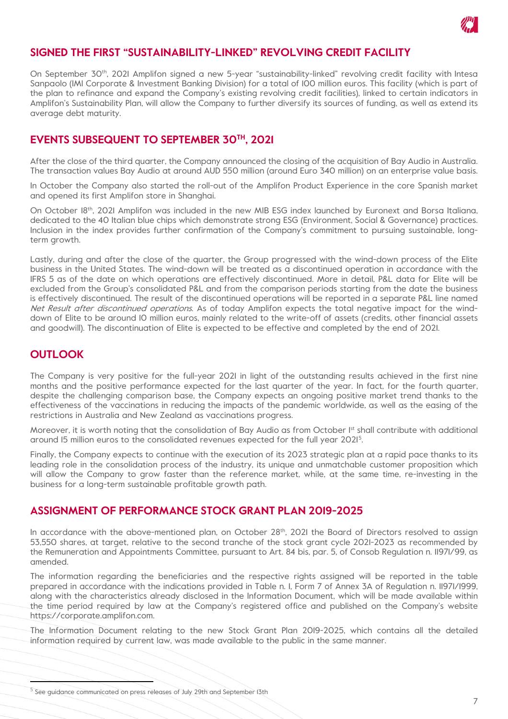

#### **SIGNED THE FIRST "SUSTAINABILITY-LINKED" REVOLVING CREDIT FACILITY**

On September 30<sup>th</sup>, 2021 Amplifon signed a new 5-year "sustainability-linked" revolving credit facility with Intesa Sanpaolo (IMI Corporate & Investment Banking Division) for a total of 100 million euros. This facility (which is part of the plan to refinance and expand the Company's existing revolving credit facilities), linked to certain indicators in Amplifon's Sustainability Plan, will allow the Company to further diversify its sources of funding, as well as extend its average debt maturity.

#### **EVENTS SUBSEQUENT TO SEPTEMBER 30TH, 2021**

After the close of the third quarter, the Company announced the closing of the acquisition of Bay Audio in Australia. The transaction values Bay Audio at around AUD 550 million (around Euro 340 million) on an enterprise value basis.

In October the Company also started the roll-out of the Amplifon Product Experience in the core Spanish market and opened its first Amplifon store in Shanghai.

On October 18th, 2021 Amplifon was included in the new MIB ESG index launched by Euronext and Borsa Italiana, dedicated to the 40 Italian blue chips which demonstrate strong ESG (Environment, Social & Governance) practices. Inclusion in the index provides further confirmation of the Company's commitment to pursuing sustainable, longterm growth.

Lastly, during and after the close of the quarter, the Group progressed with the wind-down process of the Elite business in the United States. The wind-down will be treated as a discontinued operation in accordance with the IFRS 5 as of the date on which operations are effectively discontinued. More in detail, P&L data for Elite will be excluded from the Group's consolidated P&L and from the comparison periods starting from the date the business is effectively discontinued. The result of the discontinued operations will be reported in a separate P&L line named Net Result after discontinued operations. As of today Amplifon expects the total negative impact for the winddown of Elite to be around 10 million euros, mainly related to the write-off of assets (credits, other financial assets and goodwill). The discontinuation of Elite is expected to be effective and completed by the end of 2021.

#### **OUTLOOK**

The Company is very positive for the full-year 2021 in light of the outstanding results achieved in the first nine months and the positive performance expected for the last quarter of the year. In fact, for the fourth quarter, despite the challenging comparison base, the Company expects an ongoing positive market trend thanks to the effectiveness of the vaccinations in reducing the impacts of the pandemic worldwide, as well as the easing of the restrictions in Australia and New Zealand as vaccinations progress.

Moreover, it is worth noting that the consolidation of Bay Audio as from October I<sup>st</sup> shall contribute with additional around 15 million euros to the consolidated revenues expected for the full year 2021[5](#page-6-0) .

Finally, the Company expects to continue with the execution of its 2023 strategic plan at a rapid pace thanks to its leading role in the consolidation process of the industry, its unique and unmatchable customer proposition which will allow the Company to grow faster than the reference market, while, at the same time, re-investing in the business for a long-term sustainable profitable growth path.

#### **ASSIGNMENT OF PERFORMANCE STOCK GRANT PLAN 2019-2025**

In accordance with the above-mentioned plan, on October  $28<sup>th</sup>$ , 2021 the Board of Directors resolved to assign 53,550 shares, at target, relative to the second tranche of the stock grant cycle 2021-2023 as recommended by the Remuneration and Appointments Committee, pursuant to Art. 84 bis, par. 5, of Consob Regulation n. 11971/99, as amended.

The information regarding the beneficiaries and the respective rights assigned will be reported in the table prepared in accordance with the indications provided in Table n. 1, Form 7 of Annex 3A of Regulation n. 11971/1999, along with the characteristics already disclosed in the Information Document, which will be made available within the time period required by law at the Company's registered office and published on the Company's website https://corporate.amplifon.com.

The Information Document relating to the new Stock Grant Plan 2019-2025, which contains all the detailed information required by current law, was made available to the public in the same manner.

<span id="page-6-0"></span><sup>&</sup>lt;sup>5</sup> See guidance communicated on press releases of July 29th and September 13th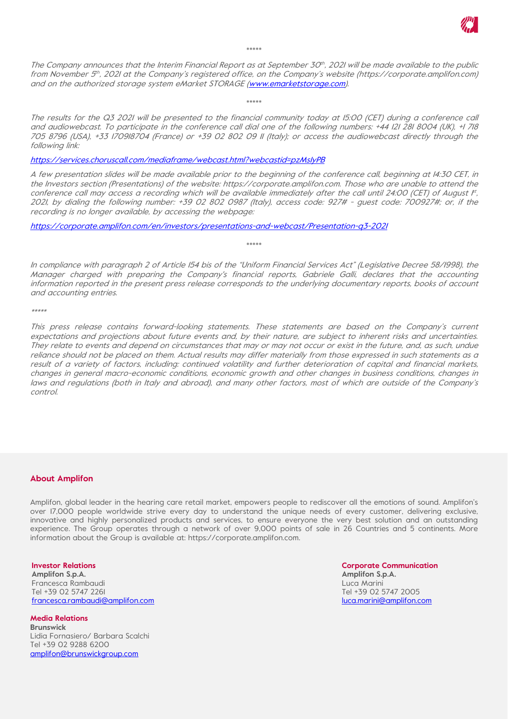

\*\*\*\*\*

The Company announces that the Interim Financial Report as at September 30th, 2021 will be made available to the public from November 5<sup>th</sup>, 2021 at the Company's registered office, on the Company's website (https://corporate.amplifon.com) and on the authorized storage system eMarket STORAGE [\(www.emarketstorage.com\)](http://www.emarketstorage.com/).

\*\*\*\*\*

The results for the Q3 2021 will be presented to the financial community today at 15:00 (CET) during a conference call and audiowebcast. To participate in the conference call dial one of the following numbers: +44 121 281 8004 (UK), +1 718 705 8796 (USA), +33 170918704 (France) or +39 02 802 09 11 (Italy); or access the audiowebcast directly through the following link:

<https://services.choruscall.com/mediaframe/webcast.html?webcastid=pzMs1yPB>

A few presentation slides will be made available prior to the beginning of the conference call, beginning at 14:30 CET, in the Investors section (Presentations) of the website: https://corporate.amplifon.com. Those who are unable to attend the conference call may access a recording which will be available immediately after the call until 24:00 (CET) of August  $F$ , 2021, by dialing the following number: +39 02 802 0987 (Italy), access code: 927# - guest code: 700927#; or, if the recording is no longer available, by accessing the webpage:

<https://corporate.amplifon.com/en/investors/presentations-and-webcast/Presentation-q3-2021>

In compliance with paragraph 2 of Article 154 bis of the "Uniform Financial Services Act" (Legislative Decree 58/1998), the Manager charged with preparing the Company's financial reports, Gabriele Galli, declares that the accounting information reported in the present press release corresponds to the underlying documentary reports, books of account and accounting entries.

\*\*\*\*\*

\*\*\*\*\*

This press release contains forward-looking statements. These statements are based on the Company's current expectations and projections about future events and, by their nature, are subject to inherent risks and uncertainties. They relate to events and depend on circumstances that may or may not occur or exist in the future, and, as such, undue reliance should not be placed on them. Actual results may differ materially from those expressed in such statements as a result of a variety of factors, including: continued volatility and further deterioration of capital and financial markets, changes in general macro-economic conditions, economic growth and other changes in business conditions, changes in laws and regulations (both in Italy and abroad), and many other factors, most of which are outside of the Company's control.

#### **About Amplifon**

Amplifon, global leader in the hearing care retail market, empowers people to rediscover all the emotions of sound. Amplifon's over 17,000 people worldwide strive every day to understand the unique needs of every customer, delivering exclusive, innovative and highly personalized products and services, to ensure everyone the very best solution and an outstanding experience. The Group operates through a network of over 9,000 points of sale in 26 Countries and 5 continents. More information about the Group is available at: https://corporate.amplifon.com.

**Investor Relations**

**Amplifon S.p.A.** Francesca Rambaudi Tel +39 02 5747 2261 [francesca.rambaudi@amplifon.com](mailto:francesca.rambaudi@amplifon.com)

**Media Relations Brunswick** Lidia Fornasiero/ Barbara Scalchi Tel +39 02 9288 6200 [amplifon@brunswickgroup.com](mailto:amplifon@brunswickgroup.com)

**Corporate Communication Amplifon S.p.A.** Luca Marini Tel +39 02 5747 2005 [luca.marini@amplifon.com](mailto:luca.marini@amplifon.com)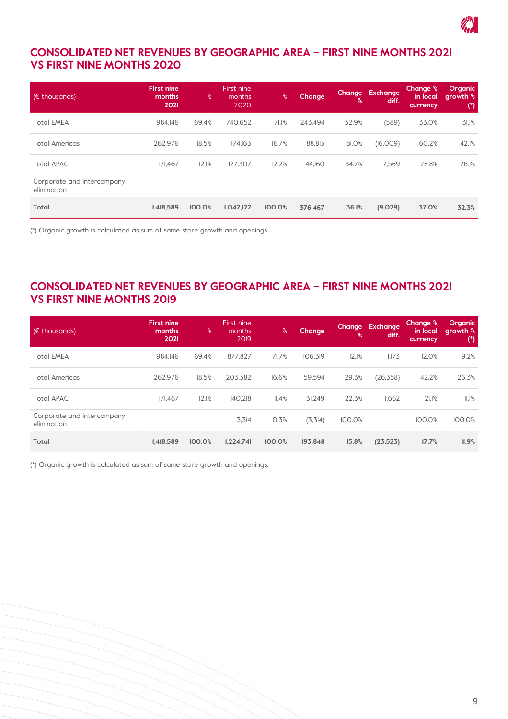

## **CONSOLIDATED NET REVENUES BY GEOGRAPHIC AREA – FIRST NINE MONTHS 2021 VS FIRST NINE MONTHS 2020**

| $(\epsilon$ thousands).                   | <b>First nine</b><br>months<br>2021 | $\frac{6}{6}$ | First nine<br>months<br>2020 | ℅      | <b>Change</b> | <b>Change</b><br>$\frac{6}{6}$ | Exchange<br>diff. | <b>Change %</b><br>in local<br>currency | Organic<br>growth %<br>$(*)$ |
|-------------------------------------------|-------------------------------------|---------------|------------------------------|--------|---------------|--------------------------------|-------------------|-----------------------------------------|------------------------------|
| <b>Total EMEA</b>                         | 984.146                             | 69.4%         | 740.652                      | 71.1%  | 243.494       | 32.9%                          | (589)             | 33.0%                                   | 31.1%                        |
| <b>Total Americas</b>                     | 262.976                             | 18.5%         | 174.163                      | 16.7%  | 88.813        | 51.0%                          | (16,009)          | 60.2%                                   | 42.1%                        |
| <b>Total APAC</b>                         | 171.467                             | 12.1%         | 127.307                      | 12.2%  | 44.160        | 34.7%                          | 7.569             | 28.8%                                   | 26.1%                        |
| Corporate and intercompany<br>elimination | $\sim$                              |               |                              |        |               |                                |                   |                                         |                              |
| Total                                     | 1,418,589                           | 100.0%        | I, O42, I22                  | 100.0% | 376.467       | 36.1%                          | (9,029)           | 37.0%                                   | 32.3%                        |

(\*) Organic growth is calculated as sum of same store growth and openings.

#### **CONSOLIDATED NET REVENUES BY GEOGRAPHIC AREA – FIRST NINE MONTHS 2021 VS FIRST NINE MONTHS 2019**

| $(E$ thousands)                           | <b>First nine</b><br>months<br>2021 | $\frac{6}{6}$            | First nine<br>months<br>2019 | $\%$   | <b>Change</b> | <b>Change</b><br>၊% | Exchange<br>diff.        | Change %<br>in local<br>currency | <b>Organic</b><br>growth %<br>$^{\circ}$ |
|-------------------------------------------|-------------------------------------|--------------------------|------------------------------|--------|---------------|---------------------|--------------------------|----------------------------------|------------------------------------------|
| <b>Total EMEA</b>                         | 984.146                             | 69.4%                    | 877.827                      | 71.7%  | 106.319       | 12.1%               | 1,173                    | 12.0%                            | 9.2%                                     |
| <b>Total Americas</b>                     | 262.976                             | 18.5%                    | 203.382                      | 16.6%  | 59.594        | 29.3%               | (26, 358)                | 42.2%                            | 26.3%                                    |
| <b>Total APAC</b>                         | 171.467                             | 12.1%                    | 140.218                      | II.4%  | 31.249        | 22.3%               | 1.662                    | 21.1%                            | $II.I$ %                                 |
| Corporate and intercompany<br>elimination | $\overline{\phantom{a}}$            | $\overline{\phantom{a}}$ | 3.314                        | 0.3%   | (3,3 4)       | $-100.0%$           | $\overline{\phantom{a}}$ | $-100.0%$                        | $-100.0%$                                |
| <b>Total</b>                              | 1.418.589                           | 100.0%                   | 1,224,741                    | 100.0% | 193.848       | 15.8%               | (23, 523)                | 17.7%                            | II.9%                                    |

(\*) Organic growth is calculated as sum of same store growth and openings.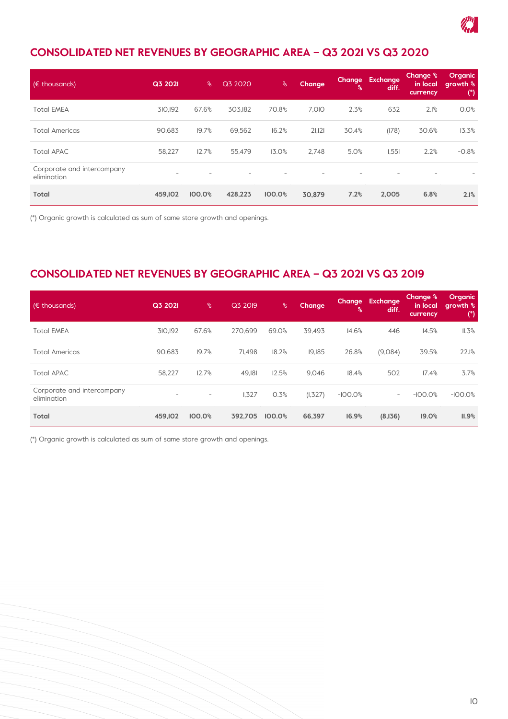

# **CONSOLIDATED NET REVENUES BY GEOGRAPHIC AREA – Q3 2021 VS Q3 2020**

| $(\epsilon$ thousands)                    | Q3 2021                  | ℅      | Q3 2020                  | $\%$   | <b>Change</b> | ℁     | Change Exchange<br>diff. | <b>Change %</b><br><u>in local</u><br>currency | Organic,<br>s qrowth %।<br>( |
|-------------------------------------------|--------------------------|--------|--------------------------|--------|---------------|-------|--------------------------|------------------------------------------------|------------------------------|
| <b>Total EMEA</b>                         | 310.192                  | 67.6%  | 303.182                  | 70.8%  | 7.010         | 2.3%  | 632                      | 2.1%                                           | 0.0%                         |
| <b>Total Americas</b>                     | 90.683                   | 19.7%  | 69,562                   | 16.2%  | 21,121        | 30.4% | (178)                    | 30.6%                                          | 13.3%                        |
| <b>Total APAC</b>                         | 58,227                   | 12.7%  | 55.479                   | 13.0%  | 2.748         | 5.0%  | 1,551                    | 2.2%                                           | $-0.8%$                      |
| Corporate and intercompany<br>elimination | $\overline{\phantom{m}}$ |        | $\overline{\phantom{a}}$ |        |               |       |                          | $\overline{\phantom{a}}$                       |                              |
| Total                                     | 459,102                  | 100.0% | 428,223                  | 100.0% | 30.879        | 7.2%  | 2,005                    | 6.8%                                           | 2.1%                         |

(\*) Organic growth is calculated as sum of same store growth and openings.

## **CONSOLIDATED NET REVENUES BY GEOGRAPHIC AREA – Q3 2021 VS Q3 2019**

| $(\epsilon$ thousands)                    | Q3 2021                  | $\%$              | Q3 2019 | $\%$   | <b>Change</b> | <b>Change</b><br>屠 | <b>Exchange</b><br>diff. | <b>Change</b> %<br>in local<br>currency | Organic<br>growth %<br>$(*)$ |
|-------------------------------------------|--------------------------|-------------------|---------|--------|---------------|--------------------|--------------------------|-----------------------------------------|------------------------------|
| <b>Total EMEA</b>                         | 310.192                  | 67.6%             | 270.699 | 69.0%  | 39.493        | 14.6%              | 446                      | 14.5%                                   | II.3%                        |
| <b>Total Americas</b>                     | 90,683                   | 19.7%             | 71.498  | 18.2%  | 19.185        | 26.8%              | (9,084)                  | 39.5%                                   | 22.1%                        |
| <b>Total APAC</b>                         | 58.227                   | 12.7%             | 49.181  | 12.5%  | 9.046         | 18.4%              | 502                      | 17.4%                                   | 3.7%                         |
| Corporate and intercompany<br>elimination | $\overline{\phantom{a}}$ | $\qquad \qquad -$ | 1,327   | 0.3%   | (1, 327)      | $-100.0%$          | $\overline{\phantom{a}}$ | $-100.0%$                               | $-100.0%$                    |
| Total                                     | 459.102                  | 100.0%            | 392.705 | 100.0% | 66.397        | 16.9%              | (8,136)                  | 19.0%                                   | II.9%                        |

(\*) Organic growth is calculated as sum of same store growth and openings.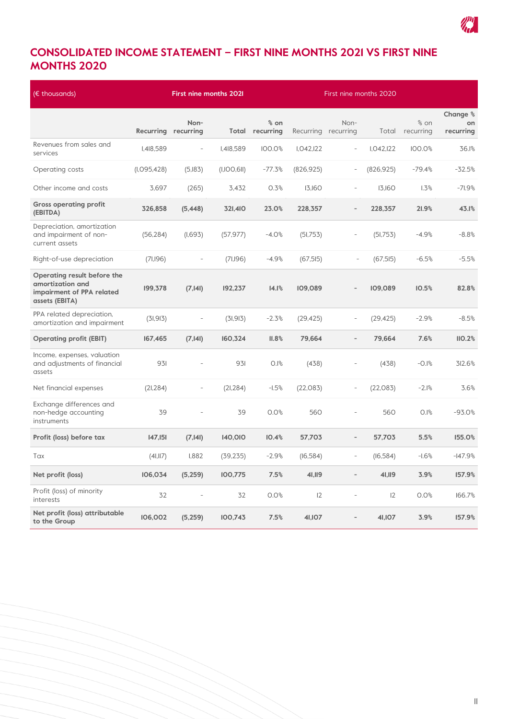

# **CONSOLIDATED INCOME STATEMENT – FIRST NINE MONTHS 2021 VS FIRST NINE MONTHS 2020**

| $(E$ thousands)                                                                                |                     | <b>First nine months 2021</b><br>First nine months 2020 |             |                                  |                     |                          |            |                     |                             |
|------------------------------------------------------------------------------------------------|---------------------|---------------------------------------------------------|-------------|----------------------------------|---------------------|--------------------------|------------|---------------------|-----------------------------|
|                                                                                                | Recurring recurring | Non-                                                    |             | $%$ on<br><b>Total recurring</b> | Recurring recurring | Non-                     | Total      | $%$ on<br>recurring | Change %<br>on<br>recurring |
| Revenues from sales and<br>services                                                            | I,418,589           | $\bar{ }$                                               | I,418,589   | 100.0%                           | I.042, I22          | $\overline{\phantom{a}}$ | I.042, I22 | 100.0%              | 36.1%                       |
| Operating costs                                                                                | (I.095, 428)        | (5,183)                                                 | (I,IOO,6II) | $-77.3%$                         | (826, 925)          | $\overline{\phantom{a}}$ | (826, 925) | $-79.4%$            | $-32.5%$                    |
| Other income and costs                                                                         | 3,697               | (265)                                                   | 3,432       | 0.3%                             | 13,160              | $\overline{\phantom{a}}$ | 13,160     | 1.3%                | $-71.9%$                    |
| <b>Gross operating profit</b><br>(EBITDA)                                                      | 326,858             | (5,448)                                                 | 321,410     | 23.0%                            | 228,357             | $\overline{\phantom{a}}$ | 228,357    | 21.9%               | 43.1%                       |
| Depreciation, amortization<br>and impairment of non-<br>current assets                         | (56, 284)           | (1,693)                                                 | (57, 977)   | $-4.0%$                          | (51, 753)           | $\overline{a}$           | (51,753)   | $-4.9%$             | $-8.8%$                     |
| Right-of-use depreciation                                                                      | (71,196)            | $\bar{ }$                                               | (71,196)    | $-4.9%$                          | (67, 515)           | $\overline{a}$           | (67, 515)  | $-6.5%$             | $-5.5%$                     |
| Operating result before the<br>amortization and<br>impairment of PPA related<br>assets (EBITA) | 199,378             | (7, 141)                                                | 192,237     | 14.1%                            | 109,089             | $\overline{a}$           | 109,089    | 10.5%               | 82.8%                       |
| PPA related depreciation,<br>amortization and impairment                                       | (31, 913)           |                                                         | (31, 913)   | $-2.3%$                          | (29, 425)           | $\overline{a}$           | (29, 425)  | $-2.9%$             | $-8.5%$                     |
| <b>Operating profit (EBIT)</b>                                                                 | 167,465             | (7, 141)                                                | 160,324     | II.8%                            | 79,664              | $\overline{\phantom{a}}$ | 79,664     | 7.6%                | II0.2%                      |
| Income, expenses, valuation<br>and adjustments of financial<br>assets                          | 931                 |                                                         | 931         | 0.1%                             | (438)               |                          | (438)      | $-0.1%$             | 312.6%                      |
| Net financial expenses                                                                         | (21, 284)           | $\overline{a}$                                          | (21, 284)   | $-1.5%$                          | (22, 083)           | $\overline{\phantom{a}}$ | (22, 083)  | $-2.1%$             | 3.6%                        |
| Exchange differences and<br>non-hedge accounting<br>instruments                                | 39                  |                                                         | 39          | 0.0%                             | 560                 | $\overline{a}$           | 560        | 0.1%                | $-93.0%$                    |
| Profit (loss) before tax                                                                       | 147,151             | (7, 141)                                                | 140,010     | 10.4%                            | 57,703              | $\overline{\phantom{a}}$ | 57,703     | 5.5%                | 155.0%                      |
| Tax                                                                                            | (4I,II7)            | 1,882                                                   | (39, 235)   | $-2.9%$                          | (16, 584)           | $\overline{\phantom{a}}$ | (16, 584)  | $-1.6%$             | $-147.9%$                   |
| Net profit (loss)                                                                              | 106,034             | (5,259)                                                 | 100,775     | 7.5%                             | 41,119              | $\overline{\phantom{0}}$ | 41,119     | 3.9%                | 157.9%                      |
| Profit (loss) of minority<br>interests                                                         | 32                  | $\overline{a}$                                          | 32          | 0.0%                             | 12                  | $\overline{\phantom{m}}$ | 12         | 0.0%                | 166.7%                      |
| Net profit (loss) attributable<br>to the Group                                                 | 106,002             | (5, 259)                                                | 100,743     | 7.5%                             | 41,107              |                          | 41,107     | 3.9%                | 157.9%                      |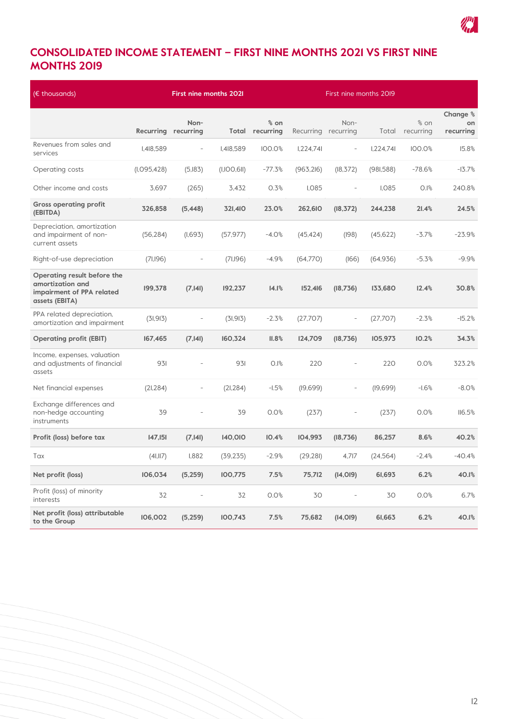

# **CONSOLIDATED INCOME STATEMENT – FIRST NINE MONTHS 2021 VS FIRST NINE MONTHS 2019**

| $E$ thousands)                                                                                 |                     |                          | <b>First nine months 2021</b> |                                     | First nine months 2019 |                          |              |                   |                             |
|------------------------------------------------------------------------------------------------|---------------------|--------------------------|-------------------------------|-------------------------------------|------------------------|--------------------------|--------------|-------------------|-----------------------------|
|                                                                                                | Recurring recurring | Non-                     |                               | $\frac{6}{6}$ on<br>Total recurring | Recurring recurring    | Non-                     | Total        | % on<br>recurring | Change %<br>on<br>recurring |
| Revenues from sales and<br>services                                                            | I,418,589           | $\overline{\phantom{a}}$ | I,418,589                     | 100.0%                              | 1,224,74               | $\overline{\phantom{a}}$ | 1,224,74     | 100.0%            | 15.8%                       |
| Operating costs                                                                                | (I, O95, 428)       | (5,183)                  | (I,IOO,6II)                   | $-77.3%$                            | (963, 216)             | (18, 372)                | (981, 588)   | $-78.6%$          | $-13.7%$                    |
| Other income and costs                                                                         | 3,697               | (265)                    | 3,432                         | 0.3%                                | <b>I,085</b>           | $\overline{\phantom{a}}$ | <b>I,085</b> | 0.1%              | 240.8%                      |
| <b>Gross operating profit</b><br>(EBITDA)                                                      | 326,858             | (5, 448)                 | 321,410                       | 23.0%                               | 262,610                | (18, 372)                | 244,238      | 21.4%             | 24.5%                       |
| Depreciation, amortization<br>and impairment of non-<br>current assets                         | (56, 284)           | (1,693)                  | (57, 977)                     | $-4.0%$                             | (45, 424)              | (198)                    | (45, 622)    | $-3.7%$           | $-23.9%$                    |
| Right-of-use depreciation                                                                      | (71,196)            | $\bar{ }$                | (71,196)                      | $-4.9%$                             | (64,770)               | (166)                    | (64, 936)    | $-5.3%$           | $-9.9%$                     |
| Operating result before the<br>amortization and<br>impairment of PPA related<br>assets (EBITA) | 199,378             | (7, 141)                 | 192,237                       | 14.1%                               | 152,416                | (18,736)                 | 133,680      | 12.4%             | 30.8%                       |
| PPA related depreciation,<br>amortization and impairment                                       | (31, 913)           |                          | (31, 913)                     | $-2.3%$                             | (27,707)               |                          | (27,707)     | $-2.3%$           | $-15.2%$                    |
| <b>Operating profit (EBIT)</b>                                                                 | 167,465             | (7, 141)                 | 160,324                       | II.8%                               | 124,709                | (18,736)                 | 105,973      | 10.2%             | 34.3%                       |
| Income, expenses, valuation<br>and adjustments of financial<br>assets                          | 931                 |                          | 931                           | 0.1%                                | 220                    |                          | 220          | 0.0%              | 323.2%                      |
| Net financial expenses                                                                         | (21, 284)           | $\overline{a}$           | (21, 284)                     | $-1.5%$                             | (19, 699)              | $\overline{\phantom{a}}$ | (19,699)     | $-1.6%$           | $-8.0%$                     |
| Exchange differences and<br>non-hedge accounting<br>instruments                                | 39                  |                          | 39                            | 0.0%                                | (237)                  |                          | (237)        | 0.0%              | II6.5%                      |
| Profit (loss) before tax                                                                       | 147,151             | (7, 141)                 | 140,010                       | 10.4%                               | 104,993                | (18,736)                 | 86,257       | 8.6%              | 40.2%                       |
| Tax                                                                                            | (41,117)            | 1,882                    | (39, 235)                     | $-2.9%$                             | (29, 281)              | 4,717                    | (24, 564)    | $-2.4%$           | $-40.4%$                    |
| Net profit (loss)                                                                              | 106,034             | (5,259)                  | 100,775                       | 7.5%                                | 75,712                 | (14, 019)                | 61,693       | 6.2%              | 40.1%                       |
| Profit (loss) of minority<br>interests                                                         | 32                  | $\overline{a}$           | 32                            | 0.0%                                | 30                     | $\overline{\phantom{a}}$ | 30           | 0.0%              | 6.7%                        |
| Net profit (loss) attributable<br>to the Group                                                 | 106,002             | (5,259)                  | 100,743                       | 7.5%                                | 75,682                 | (14, 019)                | 61,663       | 6.2%              | 40.1%                       |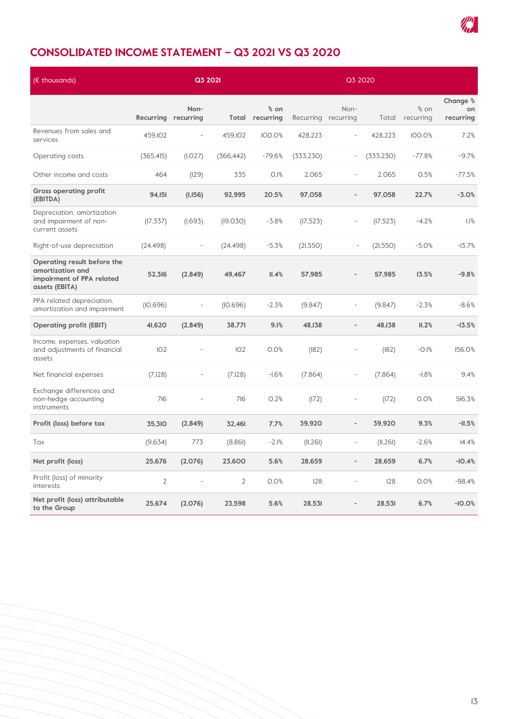

# **CONSOLIDATED INCOME STATEMENT – Q3 2021 VS Q3 2020**

| $(E$ thousands)                                                                                |                     | Q3 2021                  |            |                   | Q3 2020    |                             |            |                     |                             |
|------------------------------------------------------------------------------------------------|---------------------|--------------------------|------------|-------------------|------------|-----------------------------|------------|---------------------|-----------------------------|
|                                                                                                | Recurring recurring | Non-                     | Total      | % on<br>recurring |            | Non-<br>Recurring recurring | Total      | $%$ on<br>recurring | Change %<br>on<br>recurring |
| Revenues from sales and<br>services                                                            | 459, IO2            | $\overline{\phantom{a}}$ | 459, IO2   | 100.0%            | 428,223    | $\overline{\phantom{a}}$    | 428.223    | 100.0%              | 7.2%                        |
| Operating costs                                                                                | (365, 415)          | (I, O27)                 | (366, 442) | $-79.6%$          | (333, 230) | $\overline{\phantom{a}}$    | (333, 230) | $-77.8%$            | $-9.7%$                     |
| Other income and costs                                                                         | 464                 | (129)                    | 335        | 0.1%              | 2,065      | $\overline{\phantom{a}}$    | 2,065      | 0.5%                | $-77.5%$                    |
| <b>Gross operating profit</b><br>(EBITDA)                                                      | 94,151              | (1,156)                  | 92,995     | 20.5%             | 97,058     | $\overline{\phantom{a}}$    | 97,058     | 22.7%               | $-3.0%$                     |
| Depreciation, amortization<br>and impairment of non-<br>current assets                         | (17, 337)           | (1,693)                  | (19,030)   | $-3.8%$           | (17, 523)  | $\overline{\phantom{0}}$    | (17, 523)  | $-4.2%$             | 1.1%                        |
| Right-of-use depreciation                                                                      | (24, 498)           | $\overline{\phantom{a}}$ | (24, 498)  | $-5.3%$           | (21,550)   | $\overline{\phantom{a}}$    | (21, 550)  | $-5.0%$             | $-13.7%$                    |
| Operating result before the<br>amortization and<br>impairment of PPA related<br>assets (EBITA) | 52,316              | (2,849)                  | 49,467     | II.4%             | 57,985     | $\overline{\phantom{0}}$    | 57,985     | 13.5%               | $-9.8%$                     |
| PPA related depreciation,<br>amortization and impairment                                       | (10,696)            | $\overline{a}$           | (10,696)   | $-2.3%$           | (9,847)    | $\overline{\phantom{a}}$    | (9,847)    | $-2.3%$             | $-8.6%$                     |
| <b>Operating profit (EBIT)</b>                                                                 | 41,620              | (2,849)                  | 38,771     | 9.1%              | 48,138     | $\overline{\phantom{a}}$    | 48,138     | II.2%               | $-13.5%$                    |
| Income, expenses, valuation<br>and adjustments of financial<br>assets                          | 102                 |                          | 102        | 0.0%              | (182)      |                             | (182)      | $-0.1%$             | 156.0%                      |
| Net financial expenses                                                                         | (7,128)             | $\bar{\phantom{a}}$      | (7,128)    | $-1.6%$           | (7,864)    | $\overline{\phantom{a}}$    | (7,864)    | $-1.8%$             | 9.4%                        |
| Exchange differences and<br>non-hedge accounting<br>instruments                                | 716                 | $\overline{a}$           | 716        | 0.2%              | (172)      | $\overline{a}$              | (172)      | 0.0%                | 516.3%                      |
| Profit (loss) before tax                                                                       | 35,310              | (2,849)                  | 32,461     | 7.7%              | 39,920     | $\overline{\phantom{a}}$    | 39,920     | 9.3%                | $-11.5%$                    |
| Tax                                                                                            | (9,634)             | 773                      | (8,86)     | $-2.1%$           | (II, 26I)  | $\overline{\phantom{a}}$    | (II, 26I)  | $-2.6%$             | 14.4%                       |
| Net profit (loss)                                                                              | 25,676              | (2,076)                  | 23,600     | 5.6%              | 28,659     | $\overline{a}$              | 28,659     | 6.7%                | $-10.4%$                    |
| Profit (loss) of minority<br>interests                                                         | $\overline{2}$      | $\overline{\phantom{a}}$ | 2          | 0.0%              | 128        | $\overline{\phantom{a}}$    | 128        | 0.0%                | $-98.4%$                    |
| Net profit (loss) attributable<br>to the Group                                                 | 25,674              | (2,076)                  | 23,598     | 5.6%              | 28,531     |                             | 28,531     | 6.7%                | $-10.0%$                    |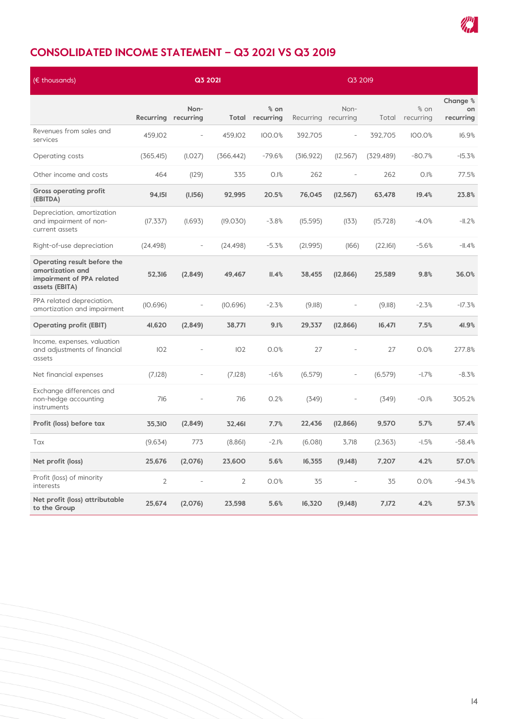

# **CONSOLIDATED INCOME STATEMENT – Q3 2021 VS Q3 2019**

| $(E$ thousands)                                                                                |                     | Q3 2021                  |                |                               | Q3 2019             |                          |            |                               |                             |
|------------------------------------------------------------------------------------------------|---------------------|--------------------------|----------------|-------------------------------|---------------------|--------------------------|------------|-------------------------------|-----------------------------|
|                                                                                                | Recurring recurring | Non-                     | Total          | $\frac{6}{6}$ on<br>recurring | Recurring recurring | Non-                     | Total      | $\frac{6}{6}$ on<br>recurring | Change %<br>on<br>recurring |
| Revenues from sales and<br>services                                                            | 459.102             | $\overline{\phantom{a}}$ | 459.102        | 100.0%                        | 392.705             | $\overline{\phantom{a}}$ | 392.705    | 100.0%                        | 16.9%                       |
| Operating costs                                                                                | (365, 415)          | (I, O27)                 | (366, 442)     | $-79.6%$                      | (316, 922)          | (12, 567)                | (329, 489) | $-80.7%$                      | $-15.3%$                    |
| Other income and costs                                                                         | 464                 | (129)                    | 335            | 0.1%                          | 262                 | L,                       | 262        | 0.1%                          | 77.5%                       |
| <b>Gross operating profit</b><br>(EBITDA)                                                      | 94,151              | (1,156)                  | 92,995         | 20.5%                         | 76,045              | (12, 567)                | 63,478     | 19.4%                         | 23.8%                       |
| Depreciation, amortization<br>and impairment of non-<br>current assets                         | (17, 337)           | (1,693)                  | (19,030)       | $-3.8%$                       | (15, 595)           | (133)                    | (I5,728)   | $-4.0%$                       | $-11.2%$                    |
| Right-of-use depreciation                                                                      | (24, 498)           | $\overline{a}$           | (24, 498)      | $-5.3%$                       | (21, 995)           | (166)                    | (22,161)   | $-5.6%$                       | $-11.4%$                    |
| Operating result before the<br>amortization and<br>impairment of PPA related<br>assets (EBITA) | 52,316              | (2,849)                  | 49,467         | II.4%                         | 38,455              | (12, 866)                | 25,589     | 9.8%                          | 36.0%                       |
| PPA related depreciation,<br>amortization and impairment                                       | (10,696)            | $\overline{\phantom{0}}$ | (10,696)       | $-2.3%$                       | (9,118)             | $\overline{\phantom{m}}$ | (9,118)    | $-2.3%$                       | $-17.3%$                    |
| <b>Operating profit (EBIT)</b>                                                                 | 41,620              | (2,849)                  | 38,771         | 9.1%                          | 29,337              | (12, 866)                | 16,471     | 7.5%                          | 41.9%                       |
| Income, expenses, valuation<br>and adjustments of financial<br>assets                          | 102                 |                          | 102            | 0.0%                          | 27                  |                          | 27         | 0.0%                          | 277.8%                      |
| Net financial expenses                                                                         | (7,128)             | $\bar{\phantom{a}}$      | (7,128)        | $-1.6%$                       | (6, 579)            | $\overline{\phantom{a}}$ | (6, 579)   | $-1.7%$                       | $-8.3%$                     |
| Exchange differences and<br>non-hedge accounting<br>instruments                                | 716                 |                          | 716            | 0.2%                          | (349)               |                          | (349)      | $-0.1%$                       | 305.2%                      |
| Profit (loss) before tax                                                                       | 35,310              | (2,849)                  | 32,461         | 7.7%                          | 22,436              | (12, 866)                | 9,570      | 5.7%                          | 57.4%                       |
| Tax                                                                                            | (9,634)             | 773                      | (8, 86)        | $-2.1%$                       | (6,081)             | 3,718                    | (2,363)    | $-1.5%$                       | $-58.4%$                    |
| Net profit (loss)                                                                              | 25,676              | (2,076)                  | 23,600         | 5.6%                          | 16,355              | (9,148)                  | 7.207      | 4.2%                          | 57.0%                       |
| Profit (loss) of minority<br>interests                                                         | $\overline{2}$      | $\overline{\phantom{0}}$ | $\overline{2}$ | 0.0%                          | 35                  | $\overline{\phantom{a}}$ | 35         | 0.0%                          | $-94.3%$                    |
| Net profit (loss) attributable<br>to the Group                                                 | 25,674              | (2,076)                  | 23,598         | 5.6%                          | 16,320              | (9,148)                  | 7,172      | 4.2%                          | 57.3%                       |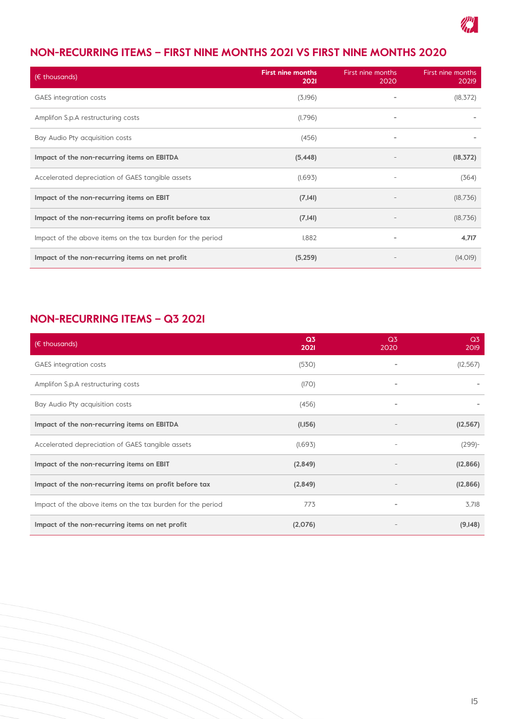

# **NON-RECURRING ITEMS – FIRST NINE MONTHS 2021 VS FIRST NINE MONTHS 2020**

| (€ thousands)                                              | <b>First nine months</b><br>2021 | First nine months<br>2020 | First nine months<br>20219 |
|------------------------------------------------------------|----------------------------------|---------------------------|----------------------------|
| <b>GAES</b> integration costs                              | (3,196)                          |                           | (18, 372)                  |
| Amplifon S.p.A restructuring costs                         | (1,796)                          | -                         |                            |
| Bay Audio Pty acquisition costs                            | (456)                            | ۰                         |                            |
| Impact of the non-recurring items on EBITDA                | (5, 448)                         |                           | (18, 372)                  |
| Accelerated depreciation of GAES tangible assets           | (1,693)                          | $\overline{\phantom{0}}$  | (364)                      |
| Impact of the non-recurring items on EBIT                  | (7, 141)                         |                           | (18, 736)                  |
| Impact of the non-recurring items on profit before tax     | (7, 141)                         |                           | (18,736)                   |
| Impact of the above items on the tax burden for the period | 1.882                            | ٠                         | 4,717                      |
| Impact of the non-recurring items on net profit            | (5,259)                          |                           | (14, 019)                  |

# **NON-RECURRING ITEMS – Q3 2021**

| ( $\epsilon$ thousands)                                    | Q <sub>3</sub><br>2021 | Q <sub>3</sub><br>2020   | Q <sub>3</sub><br>2019 |
|------------------------------------------------------------|------------------------|--------------------------|------------------------|
| <b>GAES</b> integration costs                              | (530)                  |                          | (12, 567)              |
| Amplifon S.p.A restructuring costs                         | (170)                  | $\overline{\phantom{a}}$ |                        |
| Bay Audio Pty acquisition costs                            | (456)                  |                          |                        |
| Impact of the non-recurring items on EBITDA                | (1,156)                |                          | (12, 567)              |
| Accelerated depreciation of GAES tangible assets           | (1,693)                |                          | $(299)$ -              |
| Impact of the non-recurring items on EBIT                  | (2,849)                |                          | (12, 866)              |
| Impact of the non-recurring items on profit before tax     | (2,849)                |                          | (12, 866)              |
| Impact of the above items on the tax burden for the period | 773                    |                          | 3,718                  |
| Impact of the non-recurring items on net profit            | (2,076)                |                          | (9,148)                |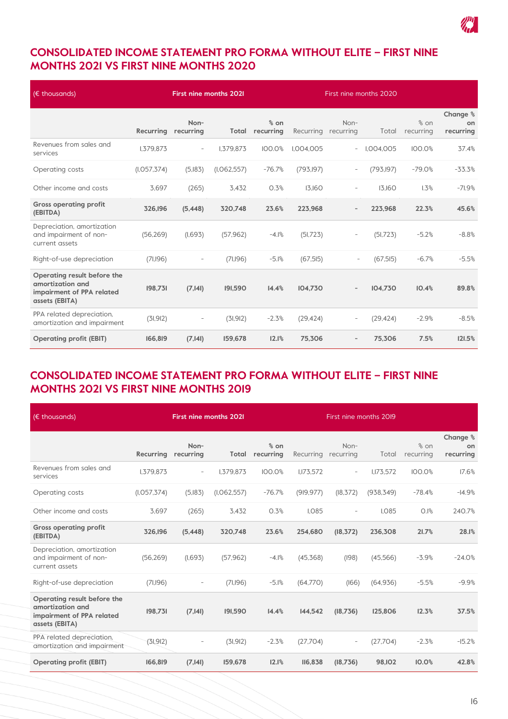

# **CONSOLIDATED INCOME STATEMENT PRO FORMA WITHOUT ELITE – FIRST NINE MONTHS 2021 VS FIRST NINE MONTHS 2020**

| $(E$ thousands)                                                                                |               | <b>First nine months 2021</b> |             | First nine months 2020 |            |                          |            |                     |                             |
|------------------------------------------------------------------------------------------------|---------------|-------------------------------|-------------|------------------------|------------|--------------------------|------------|---------------------|-----------------------------|
|                                                                                                | Recurring     | Non-<br>recurring             | Total       | $%$ on<br>recurring    | Recurring  | Non-<br>recurring        | Total      | $%$ on<br>recurring | Change %<br>on<br>recurring |
| Revenues from sales and<br>services                                                            | I, 379, 873   | $\overline{\phantom{a}}$      | I, 379, 873 | 100.0%                 | I.004.005  | $\overline{\phantom{a}}$ | I.004.005  | 100.0%              | 37.4%                       |
| Operating costs                                                                                | (I, O57, 374) | (5,183)                       | (I.062.557) | $-76.7%$               | (793, 197) | $\overline{\phantom{a}}$ | (793, 197) | $-79.0%$            | $-33.3%$                    |
| Other income and costs                                                                         | 3,697         | (265)                         | 3.432       | 0.3%                   | 13.160     | $\overline{\phantom{a}}$ | 13.160     | 1.3%                | $-71.9%$                    |
| <b>Gross operating profit</b><br>(EBITDA)                                                      | 326,196       | (5,448)                       | 320,748     | 23.6%                  | 223,968    | $\overline{\phantom{a}}$ | 223,968    | 22.3%               | 45.6%                       |
| Depreciation, amortization<br>and impairment of non-<br>current assets                         | (56, 269)     | (1,693)                       | (57, 962)   | $-4.1%$                | (51, 723)  | $\overline{\phantom{a}}$ | (51, 723)  | $-5.2%$             | $-8.8%$                     |
| Right-of-use depreciation                                                                      | (71,196)      |                               | (71,196)    | $-5.1%$                | (67, 515)  | $\overline{\phantom{a}}$ | (67, 515)  | $-6.7%$             | $-5.5%$                     |
| Operating result before the<br>amortization and<br>impairment of PPA related<br>assets (EBITA) | 198,731       | (7, 141)                      | 191,590     | 14.4%                  | 104,730    | $\overline{\phantom{a}}$ | 104.730    | 10.4%               | 89.8%                       |
| PPA related depreciation,<br>amortization and impairment                                       | (31, 912)     | $\overline{\phantom{a}}$      | (31, 912)   | $-2.3%$                | (29, 424)  | $\overline{\phantom{a}}$ | (29, 424)  | $-2.9%$             | $-8.5%$                     |
| <b>Operating profit (EBIT)</b>                                                                 | 166,819       | (7, 141)                      | 159,678     | 12.1%                  | 75,306     | $\overline{\phantom{a}}$ | 75,306     | 7.5%                | 121.5%                      |

# **CONSOLIDATED INCOME STATEMENT PRO FORMA WITHOUT ELITE – FIRST NINE MONTHS 2021 VS FIRST NINE MONTHS 2019**

| $(E$ thousands)                                                                                |               | <b>First nine months 2021</b> |               |                     | First nine months 2019 |                          |            |                     |                             |
|------------------------------------------------------------------------------------------------|---------------|-------------------------------|---------------|---------------------|------------------------|--------------------------|------------|---------------------|-----------------------------|
|                                                                                                | Recurring     | Non-<br>recurring             | Total         | $%$ on<br>recurring | Recurring              | Non-<br>recurring        | Total      | $%$ on<br>recurring | Change %<br>on<br>recurring |
| Revenues from sales and<br>services                                                            | I, 379, 873   | $\overline{\phantom{a}}$      | I.379.873     | 100.0%              | 1.173.572              | $\overline{\phantom{a}}$ | I.173.572  | 100.0%              | 17.6%                       |
| Operating costs                                                                                | (I, O57, 374) | (5,183)                       | (I, 062, 557) | $-76.7%$            | (919, 977)             | (18, 372)                | (938, 349) | $-78.4%$            | $-14.9%$                    |
| Other income and costs                                                                         | 3.697         | (265)                         | 3.432         | 0.3%                | 1.085                  | $\overline{a}$           | 1.085      | 0.1%                | 240.7%                      |
| <b>Gross operating profit</b><br>(EBITDA)                                                      | 326,196       | (5,448)                       | 320,748       | 23.6%               | 254,680                | (18, 372)                | 236,308    | 21.7%               | 28.1%                       |
| Depreciation, amortization<br>and impairment of non-<br>current assets                         | (56, 269)     | (1,693)                       | (57, 962)     | $-4.1%$             | (45, 368)              | (198)                    | (45,566)   | $-3.9%$             | $-24.0%$                    |
| Right-of-use depreciation                                                                      | (71,196)      |                               | (71,196)      | $-5.1%$             | (64,770)               | (166)                    | (64, 936)  | $-5.5%$             | $-9.9%$                     |
| Operating result before the<br>amortization and<br>impairment of PPA related<br>assets (EBITA) | 198,731       | (7, 141)                      | 191,590       | 14.4%               | 144,542                | (18,736)                 | 125,806    | 12.3%               | 37.5%                       |
| PPA related depreciation,<br>amortization and impairment                                       | (31, 912)     |                               | (31, 912)     | $-2.3%$             | (27,704)               | $\overline{\phantom{a}}$ | (27,704)   | $-2.3%$             | $-15.2%$                    |
| <b>Operating profit (EBIT)</b>                                                                 | 166,819       | (7, 141)                      | 159,678       | 12.1%               | <b>II6,838</b>         | (18,736)                 | 98, 102    | 10.0%               | 42.8%                       |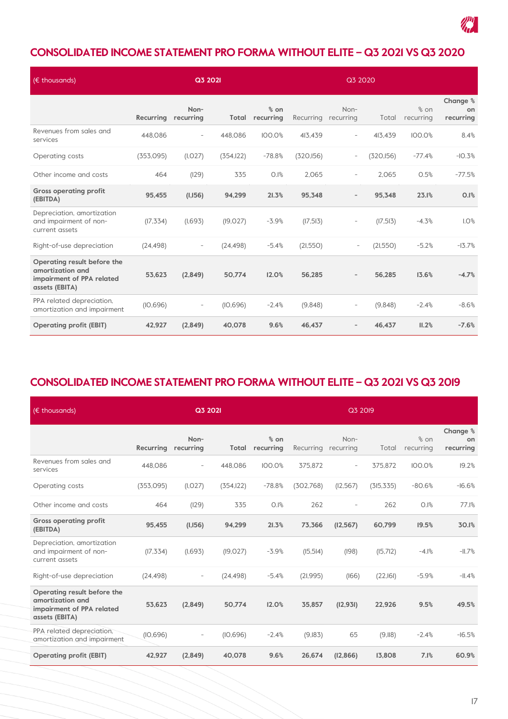

# **CONSOLIDATED INCOME STATEMENT PRO FORMA WITHOUT ELITE – Q3 2021 VS Q3 2020**

| $(E$ thousands)                                                                                |           |                          | Q3 2021    |                     | Q3 2020    |                          |            |                     |                             |
|------------------------------------------------------------------------------------------------|-----------|--------------------------|------------|---------------------|------------|--------------------------|------------|---------------------|-----------------------------|
|                                                                                                | Recurring | Non-<br>recurring        | Total      | $%$ on<br>recurring | Recurring  | Non-<br>recurring        | Total      | $%$ on<br>recurring | Change %<br>on<br>recurring |
| Revenues from sales and<br>services                                                            | 448.086   | $\overline{\phantom{a}}$ | 448.086    | 100.0%              | 413.439    | $\overline{a}$           | 413.439    | 100.0%              | 8.4%                        |
| Operating costs                                                                                | (353,095) | (I.027)                  | (354, 122) | $-78.8%$            | (320, 156) | $\overline{\phantom{a}}$ | (320, 156) | $-77.4%$            | $-10.3%$                    |
| Other income and costs                                                                         | 464       | (129)                    | 335        | 0.1%                | 2,065      | $\overline{\phantom{a}}$ | 2,065      | 0.5%                | $-77.5%$                    |
| <b>Gross operating profit</b><br>(EBITDA)                                                      | 95,455    | (1,156)                  | 94,299     | 21.3%               | 95,348     | $\qquad \qquad -$        | 95,348     | 23.1%               | 0.1%                        |
| Depreciation, amortization<br>and impairment of non-<br>current assets                         | (17, 334) | (1,693)                  | (19, 027)  | $-3.9%$             | (17, 513)  | $\overline{a}$           | (17, 513)  | $-4.3%$             | 1.0%                        |
| Right-of-use depreciation                                                                      | (24, 498) | $\overline{\phantom{a}}$ | (24, 498)  | $-5.4%$             | (21,550)   | $\overline{\phantom{a}}$ | (21,550)   | $-5.2%$             | $-13.7%$                    |
| Operating result before the<br>amortization and<br>impairment of PPA related<br>assets (EBITA) | 53.623    | (2,849)                  | 50.774     | 12.0%               | 56.285     | $\overline{\phantom{a}}$ | 56.285     | 13.6%               | $-4.7%$                     |
| PPA related depreciation,<br>amortization and impairment                                       | (10, 696) | $\overline{\phantom{a}}$ | (10.696)   | $-2.4%$             | (9,848)    | $\overline{\phantom{a}}$ | (9,848)    | $-2.4%$             | $-8.6%$                     |
| <b>Operating profit (EBIT)</b>                                                                 | 42,927    | (2,849)                  | 40.078     | 9.6%                | 46.437     |                          | 46.437     | II.2%               | $-7.6%$                     |

## **CONSOLIDATED INCOME STATEMENT PRO FORMA WITHOUT ELITE – Q3 2021 VS Q3 2019**

| $(\epsilon$ thousands)                                                                         |           | Q3 2021                  |            |                     | Q3 2019   |                          |            |                   |                             |
|------------------------------------------------------------------------------------------------|-----------|--------------------------|------------|---------------------|-----------|--------------------------|------------|-------------------|-----------------------------|
|                                                                                                | Recurring | Non-<br>recurring        | Total      | $%$ on<br>recurring | Recurring | Non-<br>recurring        | Total      | % on<br>recurring | Change %<br>on<br>recurring |
| Revenues from sales and<br>services                                                            | 448.086   | $\overline{\phantom{a}}$ | 448.086    | 100.0%              | 375.872   | $\overline{\phantom{a}}$ | 375.872    | 100.0%            | 19.2%                       |
| Operating costs                                                                                | (353,095) | (I, O27)                 | (354, 122) | $-78.8%$            | (302,768) | (12, 567)                | (315, 335) | $-80.6%$          | $-16.6%$                    |
| Other income and costs                                                                         | 464       | (129)                    | 335        | 0.1%                | 262       |                          | 262        | 0.1%              | 77.1%                       |
| <b>Gross operating profit</b><br>(EBITDA)                                                      | 95,455    | (1,156)                  | 94,299     | 21.3%               | 73,366    | (12, 567)                | 60,799     | 19.5%             | 30.1%                       |
| Depreciation, amortization<br>and impairment of non-<br>current assets                         | (17, 334) | (1,693)                  | (19, 027)  | $-3.9%$             | (15, 514) | (198)                    | (15,712)   | $-4.1%$           | $-11.7%$                    |
| Right-of-use depreciation                                                                      | (24, 498) | $\overline{\phantom{a}}$ | (24, 498)  | $-5.4%$             | (21, 995) | (166)                    | (22, 161)  | $-5.9%$           | $-11.4%$                    |
| Operating result before the<br>amortization and<br>impairment of PPA related<br>assets (EBITA) | 53,623    | (2,849)                  | 50,774     | 12.0%               | 35,857    | (12, 931)                | 22,926     | 9.5%              | 49.5%                       |
| PPA related depreciation,<br>amortization and impairment                                       | (10.696)  | $\overline{\phantom{a}}$ | (10,696)   | $-2.4%$             | (9,183)   | 65                       | (9,118)    | $-2.4%$           | $-16.5%$                    |
| <b>Operating profit (EBIT)</b>                                                                 | 42,927    | (2,849)                  | 40,078     | 9.6%                | 26,674    | (12, 866)                | 13,808     | 7.1%              | 60.9%                       |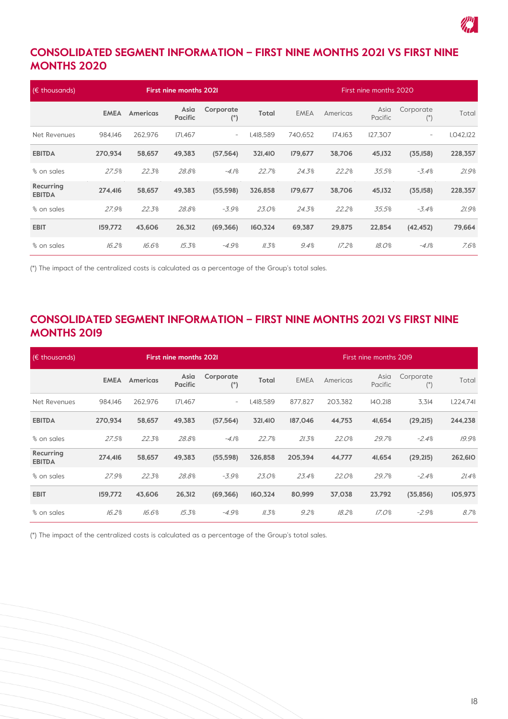

## **CONSOLIDATED SEGMENT INFORMATION – FIRST NINE MONTHS 2021 VS FIRST NINE MONTHS 2020**

| $(E$ thousands)            |             |                 | <b>First nine months 2021</b> |                          |           | First nine months 2020 |          |                 |                          |             |
|----------------------------|-------------|-----------------|-------------------------------|--------------------------|-----------|------------------------|----------|-----------------|--------------------------|-------------|
|                            | <b>EMEA</b> | <b>Americas</b> | Asia<br><b>Pacific</b>        | Corporate<br>$(*)$       | Total     | <b>EMEA</b>            | Americas | Asia<br>Pacific | Corporate<br>$($ *)      | Total       |
| Net Revenues               | 984.146     | 262.976         | 171.467                       | $\overline{\phantom{a}}$ | I.418.589 | 740.652                | 174.163  | 127.307         | $\overline{\phantom{a}}$ | I, O42, I22 |
| <b>EBITDA</b>              | 270.934     | 58,657          | 49,383                        | (57, 564)                | 321,410   | 179,677                | 38,706   | 45,132          | (35, 158)                | 228,357     |
| % on sales                 | 27.5%       | 22.3%           | 28.8%                         | $-4.1%$                  | 22.7%     | 24.3%                  | 22.2%    | 35.5%           | $-3.4%$                  | 21.9%       |
| Recurring<br><b>EBITDA</b> | 274.416     | 58,657          | 49,383                        | (55, 598)                | 326,858   | 179,677                | 38,706   | 45,132          | (35, 158)                | 228,357     |
| % on sales                 | 27.9%       | 22.3%           | 28.8%                         | $-3.9%$                  | 23.0%     | 24.3%                  | 22.2%    | 35.5%           | $-3.4%$                  | 21.9%       |
| <b>EBIT</b>                | 159,772     | 43,606          | 26,312                        | (69, 366)                | 160,324   | 69,387                 | 29,875   | 22,854          | (42, 452)                | 79,664      |
| % on sales                 | 16.2%       | 16.6%           | 15.3%                         | $-4.9%$                  | 11.3%     | 9.4%                   | 17.2%    | 18.0%           | $-4.1%$                  | 7.6%        |

(\*) The impact of the centralized costs is calculated as a percentage of the Group's total sales.

#### **CONSOLIDATED SEGMENT INFORMATION – FIRST NINE MONTHS 2021 VS FIRST NINE MONTHS 2019**

| $(E$ thousands)            |             |                 | <b>First nine months 2021</b> |                          |           | First nine months 2019 |          |                 |                    |           |  |
|----------------------------|-------------|-----------------|-------------------------------|--------------------------|-----------|------------------------|----------|-----------------|--------------------|-----------|--|
|                            | <b>EMEA</b> | <b>Americas</b> | Asia<br><b>Pacific</b>        | Corporate<br>$(*)$       | Total     | <b>EMEA</b>            | Americas | Asia<br>Pacific | Corporate<br>$(*)$ | Total     |  |
| Net Revenues               | 984.146     | 262.976         | 171.467                       | $\overline{\phantom{a}}$ | I,418,589 | 877.827                | 203,382  | 140,218         | 3,314              | 1.224.741 |  |
| <b>EBITDA</b>              | 270.934     | 58,657          | 49,383                        | (57, 564)                | 321,410   | 187,046                | 44,753   | 41,654          | (29,215)           | 244,238   |  |
| % on sales                 | 27.5%       | 22.3%           | 28.8%                         | $-4.1%$                  | 22.7%     | 21.3%                  | 22.0%    | 29.7%           | $-2.4%$            | 19.9%     |  |
| Recurring<br><b>EBITDA</b> | 274,416     | 58,657          | 49,383                        | (55, 598)                | 326,858   | 205,394                | 44,777   | 41,654          | (29,215)           | 262,610   |  |
| % on sales                 | 27.9%       | 22.3%           | 28.8%                         | $-3.9%$                  | 23.0%     | 23.4%                  | 22.0%    | 29.7%           | $-2.4%$            | 21.4%     |  |
| <b>EBIT</b>                | 159,772     | 43,606          | 26,312                        | (69, 366)                | 160,324   | 80,999                 | 37,038   | 23,792          | (35, 856)          | 105,973   |  |
| % on sales                 | 16.2%       | 16.6%           | 15.3%                         | $-4.9%$                  | 11.3%     | 9.2%                   | 18.2%    | 17.0%           | $-2.9%$            | 8.7%      |  |

(\*) The impact of the centralized costs is calculated as a percentage of the Group's total sales.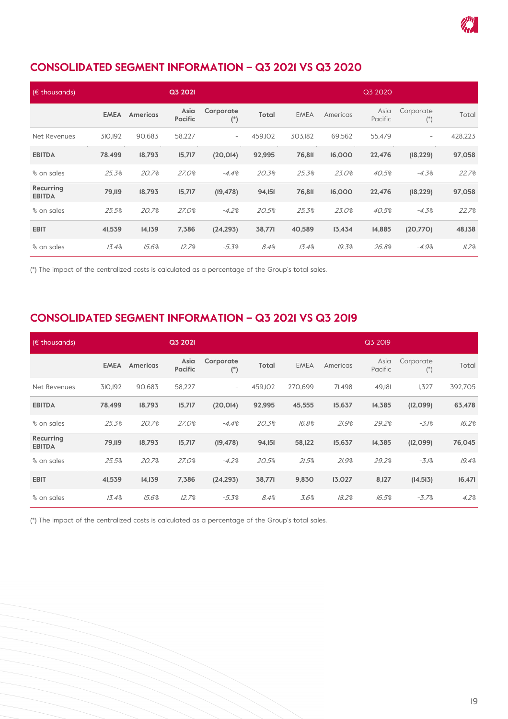

# **CONSOLIDATED SEGMENT INFORMATION – Q3 2021 VS Q3 2020**

| $(E$ thousands)            |             |                 | Q3 2021                |                          |          |               |          | Q3 2020         |                          |         |
|----------------------------|-------------|-----------------|------------------------|--------------------------|----------|---------------|----------|-----------------|--------------------------|---------|
|                            | <b>EMEA</b> | <b>Americas</b> | Asia<br><b>Pacific</b> | Corporate<br>$(*)$       | Total    | <b>EMEA</b>   | Americas | Asia<br>Pacific | Corporate<br>$($ *)      | Total   |
| Net Revenues               | 310,192     | 90.683          | 58,227                 | $\overline{\phantom{a}}$ | 459, IO2 | 303.182       | 69,562   | 55,479          | $\overline{\phantom{a}}$ | 428,223 |
| <b>EBITDA</b>              | 78,499      | 18,793          | 15,717                 | (20, 014)                | 92,995   | <b>76,811</b> | 16,000   | 22,476          | (18, 229)                | 97,058  |
| % on sales                 | 25.3%       | 20.7%           | 27.0%                  | $-4.4%$                  | 20.3%    | 25.3%         | 23.0%    | 40.5%           | $-4.3%$                  | 22.7%   |
| Recurring<br><b>EBITDA</b> | 79,119      | 18,793          | 15,717                 | (19, 478)                | 94,151   | <b>76,811</b> | 16,000   | 22,476          | (18, 229)                | 97,058  |
| % on sales                 | 25.5%       | 20.7%           | 27.0%                  | $-4.2%$                  | 20.5%    | 25.3%         | 23.0%    | 40.5%           | $-4.3%$                  | 22.7%   |
| <b>EBIT</b>                | 41,539      | 14,139          | 7,386                  | (24, 293)                | 38,771   | 40,589        | 13,434   | 14,885          | (20,770)                 | 48, 138 |
| % on sales                 | 13.4%       | 15.6%           | 12.7%                  | $-5.3%$                  | 8.4%     | 13.4%         | 19.3%    | 26.8%           | $-4.9%$                  | 11.2%   |

(\*) The impact of the centralized costs is calculated as a percentage of the Group's total sales.

#### **CONSOLIDATED SEGMENT INFORMATION – Q3 2021 VS Q3 2019**

| $(E$ thousands)            |             |                 | Q3 2021                |                          |          |             |          | Q3 2019         |                     |         |
|----------------------------|-------------|-----------------|------------------------|--------------------------|----------|-------------|----------|-----------------|---------------------|---------|
|                            | <b>EMEA</b> | <b>Americas</b> | Asia<br><b>Pacific</b> | Corporate<br>$($ *)      | Total    | <b>EMEA</b> | Americas | Asia<br>Pacific | Corporate<br>$($ *) | Total   |
| Net Revenues               | 310,192     | 90.683          | 58,227                 | $\overline{\phantom{a}}$ | 459, IO2 | 270.699     | 71.498   | 49,181          | 1,327               | 392,705 |
| <b>EBITDA</b>              | 78,499      | 18,793          | 15,717                 | (20, 014)                | 92,995   | 45,555      | 15,637   | 14,385          | (12,099)            | 63,478  |
| % on sales                 | 25.3%       | 20.7%           | 27.0%                  | $-4.4%$                  | 20.3%    | 16.8%       | 21.9%    | 29.2%           | $-3.1%$             | 16.2%   |
| Recurring<br><b>EBITDA</b> | 79,119      | 18,793          | 15,717                 | (19, 478)                | 94,151   | 58, 122     | 15,637   | 14,385          | (12,099)            | 76,045  |
| % on sales                 | 25.5%       | 20.7%           | 27.0%                  | $-4.2%$                  | 20.5%    | 21.5%       | 21.9%    | 29.2%           | $-3.1%$             | 19.4%   |
| <b>EBIT</b>                | 41,539      | 14,139          | 7,386                  | (24, 293)                | 38,771   | 9,830       | 13,027   | 8,127           | (14, 513)           | 16,471  |
| % on sales                 | 13.4%       | 15.6%           | 12.7%                  | $-5.3%$                  | 8.4%     | 3.6%        | 18.2%    | 16.5%           | $-3.7%$             | 4.2%    |

(\*) The impact of the centralized costs is calculated as a percentage of the Group's total sales.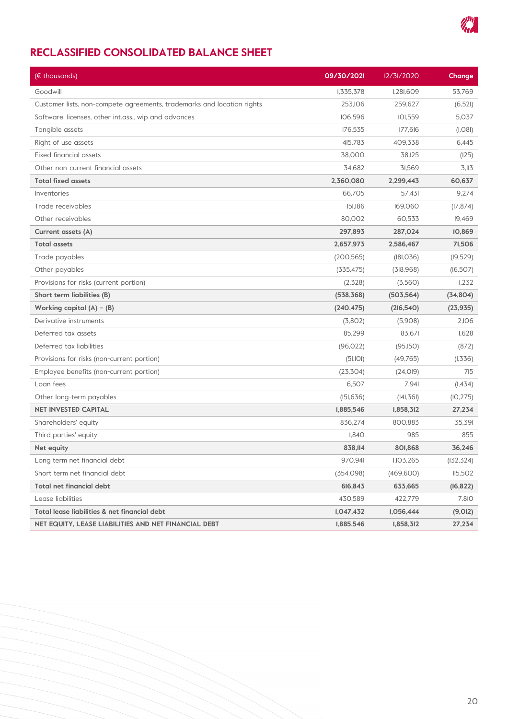

# **RECLASSIFIED CONSOLIDATED BALANCE SHEET**

| (€ thousands)                                                          | 09/30/2021  | 12/31/2020       | Change            |
|------------------------------------------------------------------------|-------------|------------------|-------------------|
| Goodwill                                                               | I, 335, 378 | <b>I.28I.609</b> | 53,769            |
| Customer lists, non-compete agreements, trademarks and location rights | 253, IO6    | 259,627          | (6,521)           |
| Software, licenses, other int.ass., wip and advances                   | 106,596     | 101,559          | 5,037             |
| Tangible assets                                                        | 176,535     | 177,616          | (I, O8I)          |
| Right of use assets                                                    | 415,783     | 409,338          | 6,445             |
| <b>Fixed financial assets</b>                                          | 38,000      | 38, 125          | (125)             |
| Other non-current financial assets                                     | 34,682      | 31,569           | 3.113             |
| <b>Total fixed assets</b>                                              | 2,360,080   | 2,299,443        | 60,637            |
| Inventories                                                            | 66,705      | 57,431           | 9,274             |
| Trade receivables                                                      | 151,186     | 169,060          | (17, 874)         |
| Other receivables                                                      | 80,002      | 60,533           | 19,469            |
| Current assets (A)                                                     | 297,893     | 287,024          | 10,869            |
| <b>Total assets</b>                                                    | 2,657,973   | 2,586,467        | 71,506            |
| Trade payables                                                         | (200, 565)  | (181, 036)       | (19, 529)         |
| Other payables                                                         | (335, 475)  | (318,968)        | (16,507)          |
| Provisions for risks (current portion)                                 | (2,328)     | (3,560)          | 1,232             |
| Short term liabilities (B)                                             | (538, 368)  | (503, 564)       | (34, 804)         |
| Working capital $(A) - (B)$                                            | (240, 475)  | (216,540)        | (23, 935)         |
| Derivative instruments                                                 | (3,802)     | (5,908)          | 2,106             |
| Deferred tax assets                                                    | 85,299      | 83,671           | 1,628             |
| Deferred tax liabilities                                               | (96, 022)   | (95,150)         | (872)             |
| Provisions for risks (non-current portion)                             | (5I,IOI)    | (49, 765)        | (1,336)           |
| Employee benefits (non-current portion)                                | (23, 304)   | (24, 019)        | 715               |
| Loan fees                                                              | 6,507       | 7,941            | (1, 434)          |
| Other long-term payables                                               | (I5I, 636)  | (141, 361)       | (10, 275)         |
| <b>NET INVESTED CAPITAL</b>                                            | 1,885,546   | 1,858,312        | 27,234            |
| Shareholders' equity                                                   | 836,274     | 800,883          | 35,391            |
| Third parties' equity                                                  | I.840       | 985              | 855               |
| Net equity                                                             | 838, II4    | 801,868          | 36,246            |
| Long term net financial debt                                           | 970,941     | I, IO3,265       | (132, 324)        |
| Short term net financial debt                                          | (354,098)   | (469,600)        | <b>II5,502</b>    |
| <b>Total net financial debt</b>                                        | 616,843     | 633,665          | (16, 822)         |
| Lease liabilities                                                      | 430,589     | 422,779          | 7,8 <sub>IO</sub> |
| Total lease liabilities & net financial debt                           | 1,047,432   | 1,056,444        | (9, 012)          |
| NET EQUITY, LEASE LIABILITIES AND NET FINANCIAL DEBT                   | 1,885,546   | 1,858,312        | 27,234            |